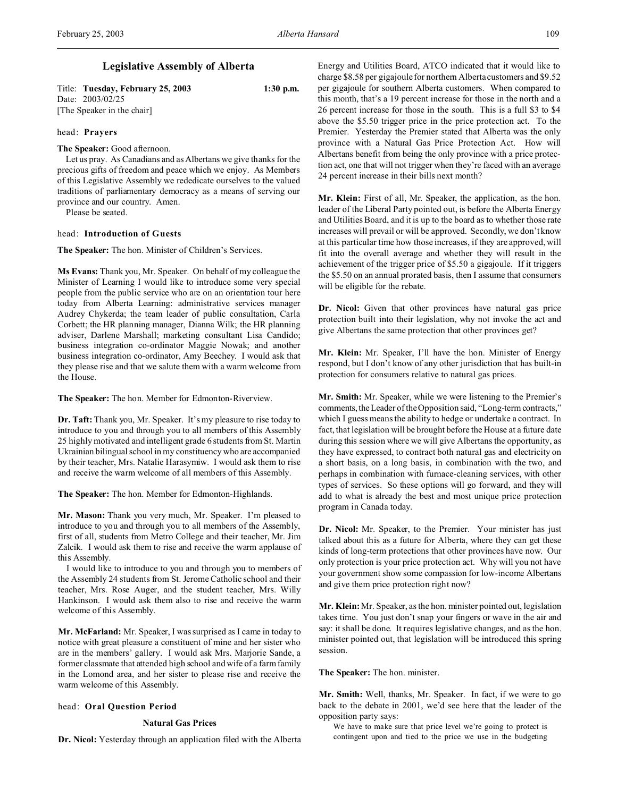# **Legislative Assembly of Alberta**

Title: **Tuesday, February 25, 2003 1:30 p.m.** Date: 2003/02/25 [The Speaker in the chair]

# head: **Prayers**

**The Speaker:** Good afternoon.

Let us pray. As Canadians and as Albertans we give thanks for the precious gifts of freedom and peace which we enjoy. As Members of this Legislative Assembly we rededicate ourselves to the valued traditions of parliamentary democracy as a means of serving our province and our country. Amen.

Please be seated.

## head: **Introduction of Guests**

**The Speaker:** The hon. Minister of Children's Services.

**Ms Evans:** Thank you, Mr. Speaker. On behalf of my colleague the Minister of Learning I would like to introduce some very special people from the public service who are on an orientation tour here today from Alberta Learning: administrative services manager Audrey Chykerda; the team leader of public consultation, Carla Corbett; the HR planning manager, Dianna Wilk; the HR planning adviser, Darlene Marshall; marketing consultant Lisa Candido; business integration co-ordinator Maggie Nowak; and another business integration co-ordinator, Amy Beechey. I would ask that they please rise and that we salute them with a warm welcome from the House.

**The Speaker:** The hon. Member for Edmonton-Riverview.

**Dr. Taft:** Thank you, Mr. Speaker. It's my pleasure to rise today to introduce to you and through you to all members of this Assembly 25 highly motivated and intelligent grade 6 students from St. Martin Ukrainian bilingual school in my constituency who are accompanied by their teacher, Mrs. Natalie Harasymiw. I would ask them to rise and receive the warm welcome of all members of this Assembly.

**The Speaker:** The hon. Member for Edmonton-Highlands.

**Mr. Mason:** Thank you very much, Mr. Speaker. I'm pleased to introduce to you and through you to all members of the Assembly, first of all, students from Metro College and their teacher, Mr. Jim Zalcik. I would ask them to rise and receive the warm applause of this Assembly.

I would like to introduce to you and through you to members of the Assembly 24 students from St. Jerome Catholic school and their teacher, Mrs. Rose Auger, and the student teacher, Mrs. Willy Hankinson. I would ask them also to rise and receive the warm welcome of this Assembly.

**Mr. McFarland:** Mr. Speaker, I was surprised as I came in today to notice with great pleasure a constituent of mine and her sister who are in the members' gallery. I would ask Mrs. Marjorie Sande, a former classmate that attended high school and wife of a farm family in the Lomond area, and her sister to please rise and receive the warm welcome of this Assembly.

## head: **Oral Question Period**

# **Natural Gas Prices**

**Dr. Nicol:** Yesterday through an application filed with the Alberta

Energy and Utilities Board, ATCO indicated that it would like to charge \$8.58 per gigajoule for northern Alberta customers and \$9.52 per gigajoule for southern Alberta customers. When compared to this month, that's a 19 percent increase for those in the north and a 26 percent increase for those in the south. This is a full \$3 to \$4 above the \$5.50 trigger price in the price protection act. To the Premier. Yesterday the Premier stated that Alberta was the only province with a Natural Gas Price Protection Act. How will Albertans benefit from being the only province with a price protection act, one that will not trigger when they're faced with an average 24 percent increase in their bills next month?

**Mr. Klein:** First of all, Mr. Speaker, the application, as the hon. leader of the Liberal Party pointed out, is before the Alberta Energy and Utilities Board, and it is up to the board as to whether those rate increases will prevail or will be approved. Secondly, we don't know at this particular time how those increases, if they are approved, will fit into the overall average and whether they will result in the achievement of the trigger price of \$5.50 a gigajoule. If it triggers the \$5.50 on an annual prorated basis, then I assume that consumers will be eligible for the rebate.

Dr. Nicol: Given that other provinces have natural gas price protection built into their legislation, why not invoke the act and give Albertans the same protection that other provinces get?

**Mr. Klein:** Mr. Speaker, I'll have the hon. Minister of Energy respond, but I don't know of any other jurisdiction that has built-in protection for consumers relative to natural gas prices.

**Mr. Smith:** Mr. Speaker, while we were listening to the Premier's comments, the Leader of the Opposition said, "Long-term contracts," which I guess means the ability to hedge or undertake a contract. In fact, that legislation will be brought before the House at a future date during this session where we will give Albertans the opportunity, as they have expressed, to contract both natural gas and electricity on a short basis, on a long basis, in combination with the two, and perhaps in combination with furnace-cleaning services, with other types of services. So these options will go forward, and they will add to what is already the best and most unique price protection program in Canada today.

**Dr. Nicol:** Mr. Speaker, to the Premier. Your minister has just talked about this as a future for Alberta, where they can get these kinds of long-term protections that other provinces have now. Our only protection is your price protection act. Why will you not have your government show some compassion for low-income Albertans and give them price protection right now?

**Mr. Klein:** Mr. Speaker, as the hon. minister pointed out, legislation takes time. You just don't snap your fingers or wave in the air and say: it shall be done. It requires legislative changes, and as the hon. minister pointed out, that legislation will be introduced this spring session.

**The Speaker:** The hon. minister.

**Mr. Smith:** Well, thanks, Mr. Speaker. In fact, if we were to go back to the debate in 2001, we'd see here that the leader of the opposition party says:

We have to make sure that price level we're going to protect is contingent upon and tied to the price we use in the budgeting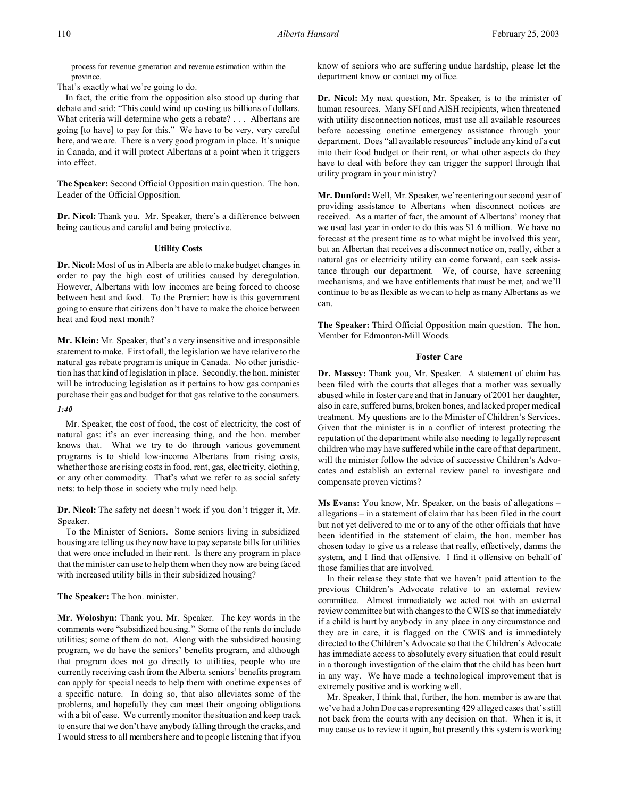process for revenue generation and revenue estimation within the province.

That's exactly what we're going to do.

In fact, the critic from the opposition also stood up during that debate and said: "This could wind up costing us billions of dollars. What criteria will determine who gets a rebate? . . . Albertans are going [to have] to pay for this." We have to be very, very careful here, and we are. There is a very good program in place. It's unique in Canada, and it will protect Albertans at a point when it triggers into effect.

**The Speaker:** Second Official Opposition main question. The hon. Leader of the Official Opposition.

**Dr. Nicol:** Thank you. Mr. Speaker, there's a difference between being cautious and careful and being protective.

### **Utility Costs**

**Dr. Nicol:** Most of us in Alberta are able to make budget changes in order to pay the high cost of utilities caused by deregulation. However, Albertans with low incomes are being forced to choose between heat and food. To the Premier: how is this government going to ensure that citizens don't have to make the choice between heat and food next month?

**Mr. Klein:** Mr. Speaker, that's a very insensitive and irresponsible statement to make. First of all, the legislation we have relative to the natural gas rebate program is unique in Canada. No other jurisdiction has that kind of legislation in place. Secondly, the hon. minister will be introducing legislation as it pertains to how gas companies purchase their gas and budget for that gas relative to the consumers.

## *1:40*

Mr. Speaker, the cost of food, the cost of electricity, the cost of natural gas: it's an ever increasing thing, and the hon. member knows that. What we try to do through various government programs is to shield low-income Albertans from rising costs, whether those are rising costs in food, rent, gas, electricity, clothing, or any other commodity. That's what we refer to as social safety nets: to help those in society who truly need help.

**Dr. Nicol:** The safety net doesn't work if you don't trigger it, Mr. Speaker.

To the Minister of Seniors. Some seniors living in subsidized housing are telling us they now have to pay separate bills for utilities that were once included in their rent. Is there any program in place that the minister can use to help them when they now are being faced with increased utility bills in their subsidized housing?

# **The Speaker:** The hon. minister.

**Mr. Woloshyn:** Thank you, Mr. Speaker. The key words in the comments were "subsidized housing." Some of the rents do include utilities; some of them do not. Along with the subsidized housing program, we do have the seniors' benefits program, and although that program does not go directly to utilities, people who are currently receiving cash from the Alberta seniors' benefits program can apply for special needs to help them with onetime expenses of a specific nature. In doing so, that also alleviates some of the problems, and hopefully they can meet their ongoing obligations with a bit of ease. We currently monitor the situation and keep track to ensure that we don't have anybody falling through the cracks, and I would stress to all members here and to people listening that if you

know of seniors who are suffering undue hardship, please let the department know or contact my office.

**Dr. Nicol:** My next question, Mr. Speaker, is to the minister of human resources. Many SFI and AISH recipients, when threatened with utility disconnection notices, must use all available resources before accessing onetime emergency assistance through your department. Does "all available resources" include any kind of a cut into their food budget or their rent, or what other aspects do they have to deal with before they can trigger the support through that utility program in your ministry?

**Mr. Dunford:** Well, Mr. Speaker, we're entering our second year of providing assistance to Albertans when disconnect notices are received. As a matter of fact, the amount of Albertans' money that we used last year in order to do this was \$1.6 million. We have no forecast at the present time as to what might be involved this year, but an Albertan that receives a disconnect notice on, really, either a natural gas or electricity utility can come forward, can seek assistance through our department. We, of course, have screening mechanisms, and we have entitlements that must be met, and we'll continue to be as flexible as we can to help as many Albertans as we can.

**The Speaker:** Third Official Opposition main question. The hon. Member for Edmonton-Mill Woods.

# **Foster Care**

**Dr. Massey:** Thank you, Mr. Speaker. A statement of claim has been filed with the courts that alleges that a mother was sexually abused while in foster care and that in January of 2001 her daughter, also in care, suffered burns, broken bones, and lacked proper medical treatment. My questions are to the Minister of Children's Services. Given that the minister is in a conflict of interest protecting the reputation of the department while also needing to legally represent children who may have suffered while in the care of that department, will the minister follow the advice of successive Children's Advocates and establish an external review panel to investigate and compensate proven victims?

**Ms Evans:** You know, Mr. Speaker, on the basis of allegations – allegations – in a statement of claim that has been filed in the court but not yet delivered to me or to any of the other officials that have been identified in the statement of claim, the hon. member has chosen today to give us a release that really, effectively, damns the system, and I find that offensive. I find it offensive on behalf of those families that are involved.

In their release they state that we haven't paid attention to the previous Children's Advocate relative to an external review committee. Almost immediately we acted not with an external review committee but with changes to the CWIS so that immediately if a child is hurt by anybody in any place in any circumstance and they are in care, it is flagged on the CWIS and is immediately directed to the Children's Advocate so that the Children's Advocate has immediate access to absolutely every situation that could result in a thorough investigation of the claim that the child has been hurt in any way. We have made a technological improvement that is extremely positive and is working well.

Mr. Speaker, I think that, further, the hon. member is aware that we've had a John Doe case representing 429 alleged cases that's still not back from the courts with any decision on that. When it is, it may cause us to review it again, but presently this system is working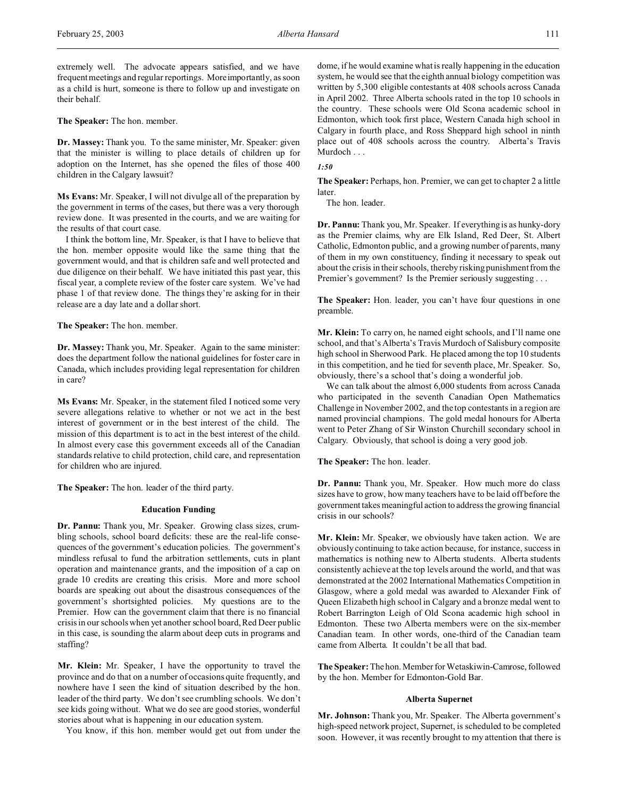**The Speaker:** The hon. member.

**Dr. Massey:** Thank you. To the same minister, Mr. Speaker: given that the minister is willing to place details of children up for adoption on the Internet, has she opened the files of those 400 children in the Calgary lawsuit?

**Ms Evans:** Mr. Speaker, I will not divulge all of the preparation by the government in terms of the cases, but there was a very thorough review done. It was presented in the courts, and we are waiting for the results of that court case.

I think the bottom line, Mr. Speaker, is that I have to believe that the hon. member opposite would like the same thing that the government would, and that is children safe and well protected and due diligence on their behalf. We have initiated this past year, this fiscal year, a complete review of the foster care system. We've had phase 1 of that review done. The things they're asking for in their release are a day late and a dollar short.

**The Speaker:** The hon. member.

**Dr. Massey:** Thank you, Mr. Speaker. Again to the same minister: does the department follow the national guidelines for foster care in Canada, which includes providing legal representation for children in care?

**Ms Evans:** Mr. Speaker, in the statement filed I noticed some very severe allegations relative to whether or not we act in the best interest of government or in the best interest of the child. The mission of this department is to act in the best interest of the child. In almost every case this government exceeds all of the Canadian standards relative to child protection, child care, and representation for children who are injured.

**The Speaker:** The hon. leader of the third party.

### **Education Funding**

**Dr. Pannu:** Thank you, Mr. Speaker. Growing class sizes, crumbling schools, school board deficits: these are the real-life consequences of the government's education policies. The government's mindless refusal to fund the arbitration settlements, cuts in plant operation and maintenance grants, and the imposition of a cap on grade 10 credits are creating this crisis. More and more school boards are speaking out about the disastrous consequences of the government's shortsighted policies. My questions are to the Premier. How can the government claim that there is no financial crisis in our schools when yet another school board, Red Deer public in this case, is sounding the alarm about deep cuts in programs and staffing?

**Mr. Klein:** Mr. Speaker, I have the opportunity to travel the province and do that on a number of occasions quite frequently, and nowhere have I seen the kind of situation described by the hon. leader of the third party. We don't see crumbling schools. We don't see kids going without. What we do see are good stories, wonderful stories about what is happening in our education system.

You know, if this hon. member would get out from under the

dome, if he would examine what is really happening in the education system, he would see that the eighth annual biology competition was written by 5,300 eligible contestants at 408 schools across Canada in April 2002. Three Alberta schools rated in the top 10 schools in the country. These schools were Old Scona academic school in Edmonton, which took first place, Western Canada high school in Calgary in fourth place, and Ross Sheppard high school in ninth place out of 408 schools across the country. Alberta's Travis Murdoch . . .

*1:50*

**The Speaker:** Perhaps, hon. Premier, we can get to chapter 2 a little later.

The hon. leader.

**Dr. Pannu:** Thank you, Mr. Speaker. If everything is as hunky-dory as the Premier claims, why are Elk Island, Red Deer, St. Albert Catholic, Edmonton public, and a growing number of parents, many of them in my own constituency, finding it necessary to speak out about the crisis in their schools, thereby risking punishment from the Premier's government? Is the Premier seriously suggesting . . .

**The Speaker:** Hon. leader, you can't have four questions in one preamble.

**Mr. Klein:** To carry on, he named eight schools, and I'll name one school, and that's Alberta's Travis Murdoch of Salisbury composite high school in Sherwood Park. He placed among the top 10 students in this competition, and he tied for seventh place, Mr. Speaker. So, obviously, there's a school that's doing a wonderful job.

We can talk about the almost 6,000 students from across Canada who participated in the seventh Canadian Open Mathematics Challenge in November 2002, and the top contestants in a region are named provincial champions. The gold medal honours for Alberta went to Peter Zhang of Sir Winston Churchill secondary school in Calgary. Obviously, that school is doing a very good job.

**The Speaker:** The hon. leader.

**Dr. Pannu:** Thank you, Mr. Speaker. How much more do class sizes have to grow, how many teachers have to be laid off before the government takes meaningful action to address the growing financial crisis in our schools?

**Mr. Klein:** Mr. Speaker, we obviously have taken action. We are obviously continuing to take action because, for instance, success in mathematics is nothing new to Alberta students. Alberta students consistently achieve at the top levels around the world, and that was demonstrated at the 2002 International Mathematics Competition in Glasgow, where a gold medal was awarded to Alexander Fink of Queen Elizabeth high school in Calgary and a bronze medal went to Robert Barrington Leigh of Old Scona academic high school in Edmonton. These two Alberta members were on the six-member Canadian team. In other words, one-third of the Canadian team came from Alberta. It couldn't be all that bad.

**The Speaker:** The hon. Member for Wetaskiwin-Camrose, followed by the hon. Member for Edmonton-Gold Bar.

# **Alberta Supernet**

**Mr. Johnson:** Thank you, Mr. Speaker. The Alberta government's high-speed network project, Supernet, is scheduled to be completed soon. However, it was recently brought to my attention that there is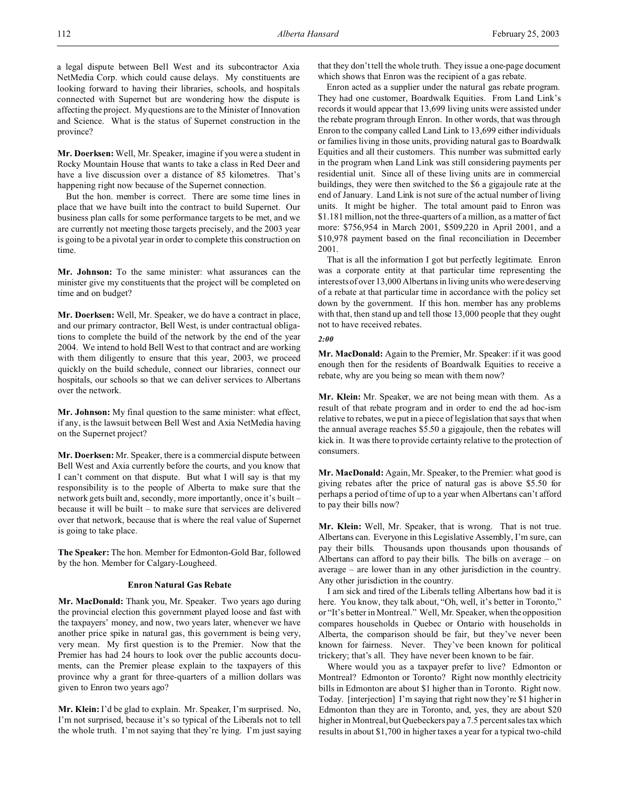**Mr. Doerksen:** Well, Mr. Speaker, imagine if you were a student in Rocky Mountain House that wants to take a class in Red Deer and have a live discussion over a distance of 85 kilometres. That's happening right now because of the Supernet connection.

But the hon. member is correct. There are some time lines in place that we have built into the contract to build Supernet. Our business plan calls for some performance targets to be met, and we are currently not meeting those targets precisely, and the 2003 year is going to be a pivotal year in order to complete this construction on time.

**Mr. Johnson:** To the same minister: what assurances can the minister give my constituents that the project will be completed on time and on budget?

**Mr. Doerksen:** Well, Mr. Speaker, we do have a contract in place, and our primary contractor, Bell West, is under contractual obligations to complete the build of the network by the end of the year 2004. We intend to hold Bell West to that contract and are working with them diligently to ensure that this year, 2003, we proceed quickly on the build schedule, connect our libraries, connect our hospitals, our schools so that we can deliver services to Albertans over the network.

**Mr. Johnson:** My final question to the same minister: what effect, if any, is the lawsuit between Bell West and Axia NetMedia having on the Supernet project?

**Mr. Doerksen:** Mr. Speaker, there is a commercial dispute between Bell West and Axia currently before the courts, and you know that I can't comment on that dispute. But what I will say is that my responsibility is to the people of Alberta to make sure that the network gets built and, secondly, more importantly, once it's built – because it will be built – to make sure that services are delivered over that network, because that is where the real value of Supernet is going to take place.

**The Speaker:** The hon. Member for Edmonton-Gold Bar, followed by the hon. Member for Calgary-Lougheed.

# **Enron Natural Gas Rebate**

**Mr. MacDonald:** Thank you, Mr. Speaker. Two years ago during the provincial election this government played loose and fast with the taxpayers' money, and now, two years later, whenever we have another price spike in natural gas, this government is being very, very mean. My first question is to the Premier. Now that the Premier has had 24 hours to look over the public accounts documents, can the Premier please explain to the taxpayers of this province why a grant for three-quarters of a million dollars was given to Enron two years ago?

**Mr. Klein:** I'd be glad to explain. Mr. Speaker, I'm surprised. No, I'm not surprised, because it's so typical of the Liberals not to tell the whole truth. I'm not saying that they're lying. I'm just saying that they don't tell the whole truth. They issue a one-page document which shows that Enron was the recipient of a gas rebate.

Enron acted as a supplier under the natural gas rebate program. They had one customer, Boardwalk Equities. From Land Link's records it would appear that 13,699 living units were assisted under the rebate program through Enron. In other words, that was through Enron to the company called Land Link to 13,699 either individuals or families living in those units, providing natural gas to Boardwalk Equities and all their customers. This number was submitted early in the program when Land Link was still considering payments per residential unit. Since all of these living units are in commercial buildings, they were then switched to the \$6 a gigajoule rate at the end of January. Land Link is not sure of the actual number of living units. It might be higher. The total amount paid to Enron was \$1.181 million, not the three-quarters of a million, as a matter of fact more: \$756,954 in March 2001, \$509,220 in April 2001, and a \$10,978 payment based on the final reconciliation in December 2001.

That is all the information I got but perfectly legitimate. Enron was a corporate entity at that particular time representing the interests of over 13,000 Albertans in living units who were deserving of a rebate at that particular time in accordance with the policy set down by the government. If this hon. member has any problems with that, then stand up and tell those 13,000 people that they ought not to have received rebates.

#### *2:00*

**Mr. MacDonald:** Again to the Premier, Mr. Speaker: if it was good enough then for the residents of Boardwalk Equities to receive a rebate, why are you being so mean with them now?

**Mr. Klein:** Mr. Speaker, we are not being mean with them. As a result of that rebate program and in order to end the ad hoc-ism relative to rebates, we put in a piece of legislation that says that when the annual average reaches \$5.50 a gigajoule, then the rebates will kick in. It was there to provide certainty relative to the protection of consumers.

**Mr. MacDonald:** Again, Mr. Speaker, to the Premier: what good is giving rebates after the price of natural gas is above \$5.50 for perhaps a period of time of up to a year when Albertans can't afford to pay their bills now?

**Mr. Klein:** Well, Mr. Speaker, that is wrong. That is not true. Albertans can. Everyone in this Legislative Assembly, I'm sure, can pay their bills. Thousands upon thousands upon thousands of Albertans can afford to pay their bills. The bills on average – on average – are lower than in any other jurisdiction in the country. Any other jurisdiction in the country.

I am sick and tired of the Liberals telling Albertans how bad it is here. You know, they talk about, "Oh, well, it's better in Toronto," or "It's better in Montreal." Well, Mr. Speaker, when the opposition compares households in Quebec or Ontario with households in Alberta, the comparison should be fair, but they've never been known for fairness. Never. They've been known for political trickery; that's all. They have never been known to be fair.

Where would you as a taxpayer prefer to live? Edmonton or Montreal? Edmonton or Toronto? Right now monthly electricity bills in Edmonton are about \$1 higher than in Toronto. Right now. Today. [interjection] I'm saying that right now they're \$1 higher in Edmonton than they are in Toronto, and, yes, they are about \$20 higher in Montreal, but Quebeckers pay a 7.5 percent sales tax which results in about \$1,700 in higher taxes a year for a typical two-child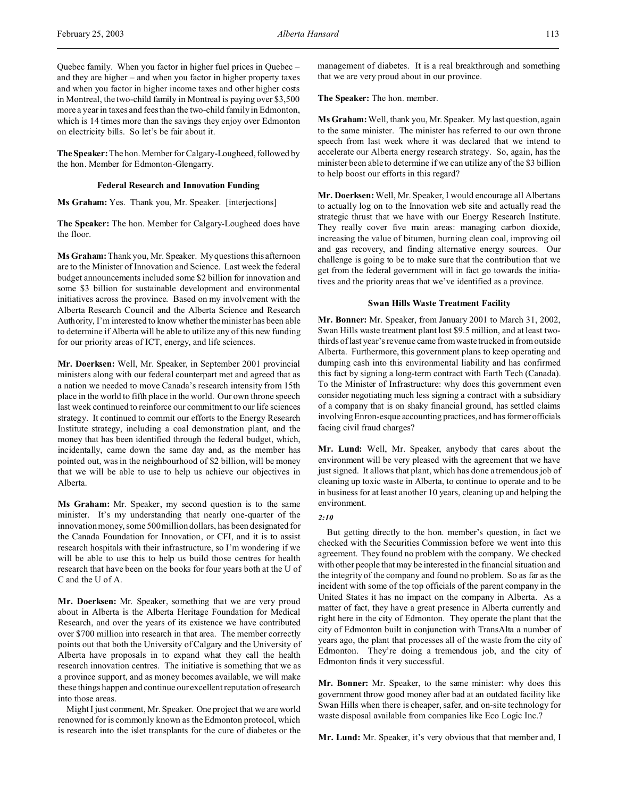**The Speaker:** The hon. Member for Calgary-Lougheed, followed by the hon. Member for Edmonton-Glengarry.

#### **Federal Research and Innovation Funding**

**Ms Graham:** Yes. Thank you, Mr. Speaker. [interjections]

**The Speaker:** The hon. Member for Calgary-Lougheed does have the floor.

**Ms Graham:** Thank you, Mr. Speaker. My questions this afternoon are to the Minister of Innovation and Science. Last week the federal budget announcements included some \$2 billion for innovation and some \$3 billion for sustainable development and environmental initiatives across the province. Based on my involvement with the Alberta Research Council and the Alberta Science and Research Authority, I'm interested to know whether the minister has been able to determine if Alberta will be able to utilize any of this new funding for our priority areas of ICT, energy, and life sciences.

**Mr. Doerksen:** Well, Mr. Speaker, in September 2001 provincial ministers along with our federal counterpart met and agreed that as a nation we needed to move Canada's research intensity from 15th place in the world to fifth place in the world. Our own throne speech last week continued to reinforce our commitment to our life sciences strategy. It continued to commit our efforts to the Energy Research Institute strategy, including a coal demonstration plant, and the money that has been identified through the federal budget, which, incidentally, came down the same day and, as the member has pointed out, was in the neighbourhood of \$2 billion, will be money that we will be able to use to help us achieve our objectives in Alberta.

**Ms Graham:** Mr. Speaker, my second question is to the same minister. It's my understanding that nearly one-quarter of the innovation money, some 500 million dollars, has been designated for the Canada Foundation for Innovation, or CFI, and it is to assist research hospitals with their infrastructure, so I'm wondering if we will be able to use this to help us build those centres for health research that have been on the books for four years both at the U of C and the U of A.

**Mr. Doerksen:** Mr. Speaker, something that we are very proud about in Alberta is the Alberta Heritage Foundation for Medical Research, and over the years of its existence we have contributed over \$700 million into research in that area. The member correctly points out that both the University of Calgary and the University of Alberta have proposals in to expand what they call the health research innovation centres. The initiative is something that we as a province support, and as money becomes available, we will make these things happen and continue our excellent reputation ofresearch into those areas.

Might I just comment, Mr. Speaker. One project that we are world renowned for is commonly known as the Edmonton protocol, which is research into the islet transplants for the cure of diabetes or the

management of diabetes. It is a real breakthrough and something that we are very proud about in our province.

**The Speaker:** The hon. member.

**Ms Graham:** Well, thank you, Mr. Speaker. My last question, again to the same minister. The minister has referred to our own throne speech from last week where it was declared that we intend to accelerate our Alberta energy research strategy. So, again, has the minister been able to determine if we can utilize any of the \$3 billion to help boost our efforts in this regard?

**Mr. Doerksen:** Well, Mr. Speaker, I would encourage all Albertans to actually log on to the Innovation web site and actually read the strategic thrust that we have with our Energy Research Institute. They really cover five main areas: managing carbon dioxide, increasing the value of bitumen, burning clean coal, improving oil and gas recovery, and finding alternative energy sources. Our challenge is going to be to make sure that the contribution that we get from the federal government will in fact go towards the initiatives and the priority areas that we've identified as a province.

#### **Swan Hills Waste Treatment Facility**

**Mr. Bonner:** Mr. Speaker, from January 2001 to March 31, 2002, Swan Hills waste treatment plant lost \$9.5 million, and at least twothirds of last year's revenue came from waste trucked in from outside Alberta. Furthermore, this government plans to keep operating and dumping cash into this environmental liability and has confirmed this fact by signing a long-term contract with Earth Tech (Canada). To the Minister of Infrastructure: why does this government even consider negotiating much less signing a contract with a subsidiary of a company that is on shaky financial ground, has settled claims involving Enron-esque accounting practices, and has former officials facing civil fraud charges?

**Mr. Lund:** Well, Mr. Speaker, anybody that cares about the environment will be very pleased with the agreement that we have just signed. It allows that plant, which has done a tremendous job of cleaning up toxic waste in Alberta, to continue to operate and to be in business for at least another 10 years, cleaning up and helping the environment.

# *2:10*

But getting directly to the hon. member's question, in fact we checked with the Securities Commission before we went into this agreement. They found no problem with the company. We checked with other people that may be interested in the financial situation and the integrity of the company and found no problem. So as far as the incident with some of the top officials of the parent company in the United States it has no impact on the company in Alberta. As a matter of fact, they have a great presence in Alberta currently and right here in the city of Edmonton. They operate the plant that the city of Edmonton built in conjunction with TransAlta a number of years ago, the plant that processes all of the waste from the city of Edmonton. They're doing a tremendous job, and the city of Edmonton finds it very successful.

**Mr. Bonner:** Mr. Speaker, to the same minister: why does this government throw good money after bad at an outdated facility like Swan Hills when there is cheaper, safer, and on-site technology for waste disposal available from companies like Eco Logic Inc.?

**Mr. Lund:** Mr. Speaker, it's very obvious that that member and, I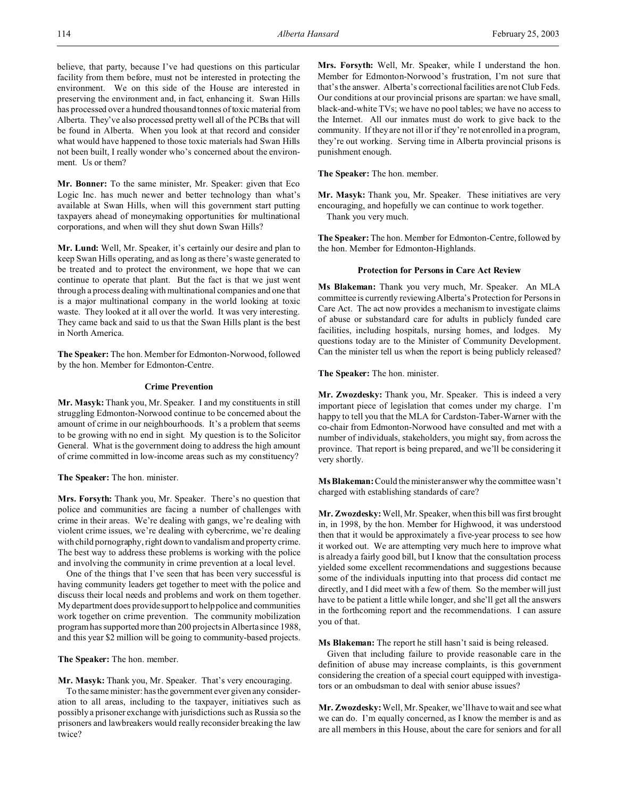believe, that party, because I've had questions on this particular facility from them before, must not be interested in protecting the environment. We on this side of the House are interested in preserving the environment and, in fact, enhancing it. Swan Hills has processed over a hundred thousand tonnes of toxic material from Alberta. They've also processed pretty well all of the PCBs that will be found in Alberta. When you look at that record and consider what would have happened to those toxic materials had Swan Hills not been built, I really wonder who's concerned about the environment. Us or them?

**Mr. Bonner:** To the same minister, Mr. Speaker: given that Eco Logic Inc. has much newer and better technology than what's available at Swan Hills, when will this government start putting taxpayers ahead of moneymaking opportunities for multinational corporations, and when will they shut down Swan Hills?

**Mr. Lund:** Well, Mr. Speaker, it's certainly our desire and plan to keep Swan Hills operating, and as long as there's waste generated to be treated and to protect the environment, we hope that we can continue to operate that plant. But the fact is that we just went through a process dealing with multinational companies and one that is a major multinational company in the world looking at toxic waste. They looked at it all over the world. It was very interesting. They came back and said to us that the Swan Hills plant is the best in North America.

**The Speaker:** The hon. Member for Edmonton-Norwood, followed by the hon. Member for Edmonton-Centre.

# **Crime Prevention**

**Mr. Masyk:** Thank you, Mr. Speaker. I and my constituents in still struggling Edmonton-Norwood continue to be concerned about the amount of crime in our neighbourhoods. It's a problem that seems to be growing with no end in sight. My question is to the Solicitor General. What is the government doing to address the high amount of crime committed in low-income areas such as my constituency?

**The Speaker:** The hon. minister.

**Mrs. Forsyth:** Thank you, Mr. Speaker. There's no question that police and communities are facing a number of challenges with crime in their areas. We're dealing with gangs, we're dealing with violent crime issues, we're dealing with cybercrime, we're dealing with child pornography, right down to vandalism and property crime. The best way to address these problems is working with the police and involving the community in crime prevention at a local level.

One of the things that I've seen that has been very successful is having community leaders get together to meet with the police and discuss their local needs and problems and work on them together. My department does provide support to help police and communities work together on crime prevention. The community mobilization program has supported more than 200 projects in Alberta since 1988, and this year \$2 million will be going to community-based projects.

**The Speaker:** The hon. member.

**Mr. Masyk:** Thank you, Mr. Speaker. That's very encouraging.

To the same minister: has the government ever given any consideration to all areas, including to the taxpayer, initiatives such as possibly a prisoner exchange with jurisdictions such as Russia so the prisoners and lawbreakers would really reconsider breaking the law twice?

**Mrs. Forsyth:** Well, Mr. Speaker, while I understand the hon. Member for Edmonton-Norwood's frustration, I'm not sure that that's the answer. Alberta's correctional facilities are not Club Feds. Our conditions at our provincial prisons are spartan: we have small, black-and-white TVs; we have no pool tables; we have no access to the Internet. All our inmates must do work to give back to the community. If they are not ill or if they're not enrolled in a program, they're out working. Serving time in Alberta provincial prisons is punishment enough.

**The Speaker:** The hon. member.

**Mr. Masyk:** Thank you, Mr. Speaker. These initiatives are very encouraging, and hopefully we can continue to work together. Thank you very much.

**The Speaker:** The hon. Member for Edmonton-Centre, followed by the hon. Member for Edmonton-Highlands.

## **Protection for Persons in Care Act Review**

**Ms Blakeman:** Thank you very much, Mr. Speaker. An MLA committee is currently reviewing Alberta's Protection for Persons in Care Act. The act now provides a mechanism to investigate claims of abuse or substandard care for adults in publicly funded care facilities, including hospitals, nursing homes, and lodges. My questions today are to the Minister of Community Development. Can the minister tell us when the report is being publicly released?

**The Speaker:** The hon. minister.

**Mr. Zwozdesky:** Thank you, Mr. Speaker. This is indeed a very important piece of legislation that comes under my charge. I'm happy to tell you that the MLA for Cardston-Taber-Warner with the co-chair from Edmonton-Norwood have consulted and met with a number of individuals, stakeholders, you might say, from across the province. That report is being prepared, and we'll be considering it very shortly.

**Ms Blakeman:** Could the minister answer why the committee wasn't charged with establishing standards of care?

**Mr. Zwozdesky:** Well, Mr. Speaker, when this bill was first brought in, in 1998, by the hon. Member for Highwood, it was understood then that it would be approximately a five-year process to see how it worked out. We are attempting very much here to improve what is already a fairly good bill, but I know that the consultation process yielded some excellent recommendations and suggestions because some of the individuals inputting into that process did contact me directly, and I did meet with a few of them. So the member will just have to be patient a little while longer, and she'll get all the answers in the forthcoming report and the recommendations. I can assure you of that.

**Ms Blakeman:** The report he still hasn't said is being released.

Given that including failure to provide reasonable care in the definition of abuse may increase complaints, is this government considering the creation of a special court equipped with investigators or an ombudsman to deal with senior abuse issues?

**Mr. Zwozdesky:**Well, Mr. Speaker, we'll have to wait and see what we can do. I'm equally concerned, as I know the member is and as are all members in this House, about the care for seniors and for all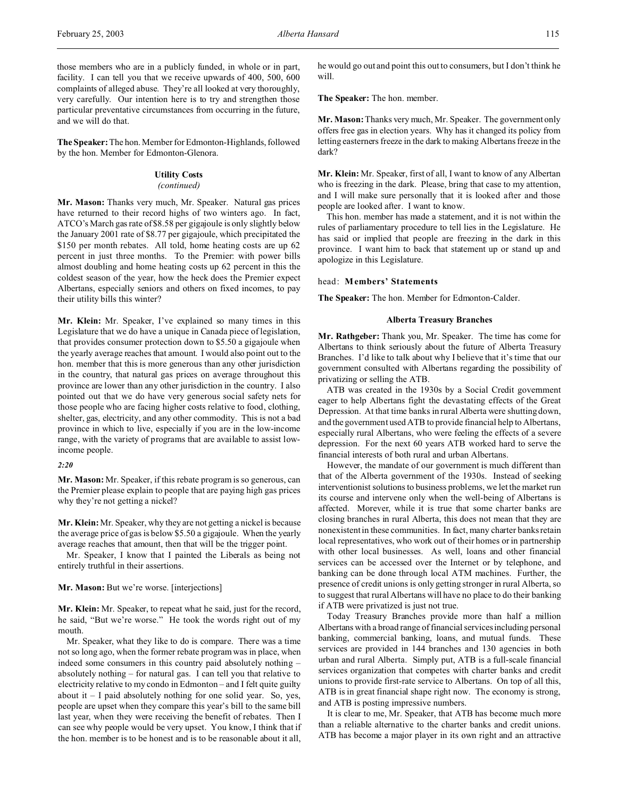**The Speaker:** The hon. Member for Edmonton-Highlands, followed by the hon. Member for Edmonton-Glenora.

# **Utility Costs**

## *(continued)*

**Mr. Mason:** Thanks very much, Mr. Speaker. Natural gas prices have returned to their record highs of two winters ago. In fact, ATCO's March gas rate of \$8.58 per gigajoule is only slightly below the January 2001 rate of \$8.77 per gigajoule, which precipitated the \$150 per month rebates. All told, home heating costs are up 62 percent in just three months. To the Premier: with power bills almost doubling and home heating costs up 62 percent in this the coldest season of the year, how the heck does the Premier expect Albertans, especially seniors and others on fixed incomes, to pay their utility bills this winter?

**Mr. Klein:** Mr. Speaker, I've explained so many times in this Legislature that we do have a unique in Canada piece of legislation, that provides consumer protection down to \$5.50 a gigajoule when the yearly average reaches that amount. I would also point out to the hon. member that this is more generous than any other jurisdiction in the country, that natural gas prices on average throughout this province are lower than any other jurisdiction in the country. I also pointed out that we do have very generous social safety nets for those people who are facing higher costs relative to food, clothing, shelter, gas, electricity, and any other commodity. This is not a bad province in which to live, especially if you are in the low-income range, with the variety of programs that are available to assist lowincome people.

# *2:20*

**Mr. Mason:** Mr. Speaker, if this rebate program is so generous, can the Premier please explain to people that are paying high gas prices why they're not getting a nickel?

**Mr. Klein:** Mr. Speaker, why they are not getting a nickel is because the average price of gas is below \$5.50 a gigajoule. When the yearly average reaches that amount, then that will be the trigger point.

Mr. Speaker, I know that I painted the Liberals as being not entirely truthful in their assertions.

# **Mr. Mason:** But we're worse. [interjections]

**Mr. Klein:** Mr. Speaker, to repeat what he said, just for the record, he said, "But we're worse." He took the words right out of my mouth.

Mr. Speaker, what they like to do is compare. There was a time not so long ago, when the former rebate program was in place, when indeed some consumers in this country paid absolutely nothing – absolutely nothing – for natural gas. I can tell you that relative to electricity relative to my condo in Edmonton – and I felt quite guilty about it  $-1$  paid absolutely nothing for one solid year. So, yes, people are upset when they compare this year's bill to the same bill last year, when they were receiving the benefit of rebates. Then I can see why people would be very upset. You know, I think that if the hon. member is to be honest and is to be reasonable about it all,

he would go out and point this out to consumers, but I don't think he will.

**The Speaker:** The hon. member.

**Mr. Mason:** Thanks very much, Mr. Speaker. The government only offers free gas in election years. Why has it changed its policy from letting easterners freeze in the dark to making Albertans freeze in the dark?

**Mr. Klein:** Mr. Speaker, first of all, I want to know of any Albertan who is freezing in the dark. Please, bring that case to my attention, and I will make sure personally that it is looked after and those people are looked after. I want to know.

This hon. member has made a statement, and it is not within the rules of parliamentary procedure to tell lies in the Legislature. He has said or implied that people are freezing in the dark in this province. I want him to back that statement up or stand up and apologize in this Legislature.

### head: **Members' Statements**

**The Speaker:** The hon. Member for Edmonton-Calder.

## **Alberta Treasury Branches**

**Mr. Rathgeber:** Thank you, Mr. Speaker. The time has come for Albertans to think seriously about the future of Alberta Treasury Branches. I'd like to talk about why I believe that it's time that our government consulted with Albertans regarding the possibility of privatizing or selling the ATB.

ATB was created in the 1930s by a Social Credit government eager to help Albertans fight the devastating effects of the Great Depression. At that time banks in rural Alberta were shutting down, and the government used ATB to provide financial help to Albertans, especially rural Albertans, who were feeling the effects of a severe depression. For the next 60 years ATB worked hard to serve the financial interests of both rural and urban Albertans.

However, the mandate of our government is much different than that of the Alberta government of the 1930s. Instead of seeking interventionist solutions to business problems, we let the market run its course and intervene only when the well-being of Albertans is affected. Morever, while it is true that some charter banks are closing branches in rural Alberta, this does not mean that they are nonexistent in these communities. In fact, many charter banks retain local representatives, who work out of their homes or in partnership with other local businesses. As well, loans and other financial services can be accessed over the Internet or by telephone, and banking can be done through local ATM machines. Further, the presence of credit unions is only getting stronger in rural Alberta, so to suggest that rural Albertans will have no place to do their banking if ATB were privatized is just not true.

Today Treasury Branches provide more than half a million Albertans with a broad range of financial services including personal banking, commercial banking, loans, and mutual funds. These services are provided in 144 branches and 130 agencies in both urban and rural Alberta. Simply put, ATB is a full-scale financial services organization that competes with charter banks and credit unions to provide first-rate service to Albertans. On top of all this, ATB is in great financial shape right now. The economy is strong, and ATB is posting impressive numbers.

It is clear to me, Mr. Speaker, that ATB has become much more than a reliable alternative to the charter banks and credit unions. ATB has become a major player in its own right and an attractive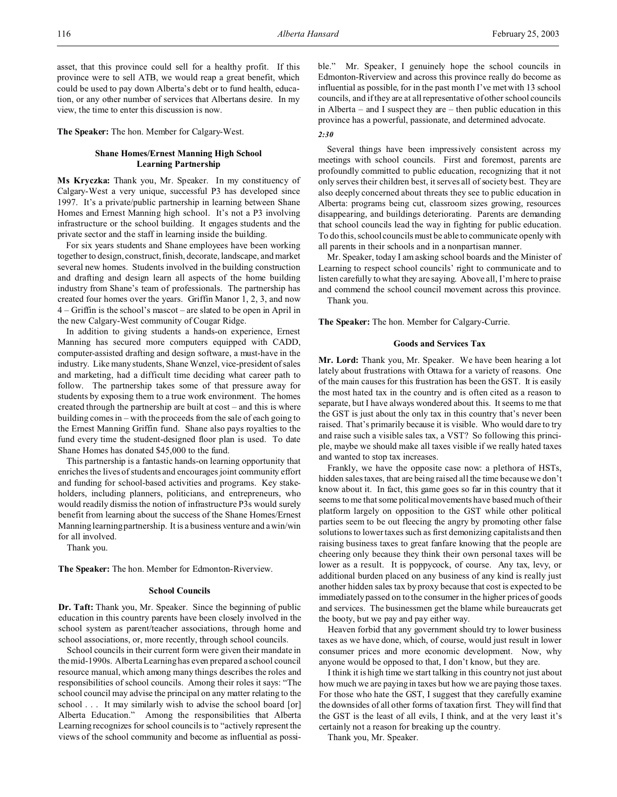asset, that this province could sell for a healthy profit. If this province were to sell ATB, we would reap a great benefit, which could be used to pay down Alberta's debt or to fund health, education, or any other number of services that Albertans desire. In my view, the time to enter this discussion is now.

**The Speaker:** The hon. Member for Calgary-West.

# **Shane Homes/Ernest Manning High School Learning Partnership**

**Ms Kryczka:** Thank you, Mr. Speaker. In my constituency of Calgary-West a very unique, successful P3 has developed since 1997. It's a private/public partnership in learning between Shane Homes and Ernest Manning high school. It's not a P3 involving infrastructure or the school building. It engages students and the private sector and the staff in learning inside the building.

For six years students and Shane employees have been working together to design, construct, finish, decorate, landscape, and market several new homes. Students involved in the building construction and drafting and design learn all aspects of the home building industry from Shane's team of professionals. The partnership has created four homes over the years. Griffin Manor 1, 2, 3, and now 4 – Griffin is the school's mascot – are slated to be open in April in the new Calgary-West community of Cougar Ridge.

In addition to giving students a hands-on experience, Ernest Manning has secured more computers equipped with CADD, computer-assisted drafting and design software, a must-have in the industry. Like many students, Shane Wenzel, vice-president of sales and marketing, had a difficult time deciding what career path to follow. The partnership takes some of that pressure away for students by exposing them to a true work environment. The homes created through the partnership are built at cost – and this is where building comes in – with the proceeds from the sale of each going to the Ernest Manning Griffin fund. Shane also pays royalties to the fund every time the student-designed floor plan is used. To date Shane Homes has donated \$45,000 to the fund.

This partnership is a fantastic hands-on learning opportunity that enriches the lives of students and encourages joint community effort and funding for school-based activities and programs. Key stakeholders, including planners, politicians, and entrepreneurs, who would readily dismiss the notion of infrastructure P3s would surely benefit from learning about the success of the Shane Homes/Ernest Manning learning partnership. It is a business venture and a win/win for all involved.

Thank you.

**The Speaker:** The hon. Member for Edmonton-Riverview.

## **School Councils**

**Dr. Taft:** Thank you, Mr. Speaker. Since the beginning of public education in this country parents have been closely involved in the school system as parent/teacher associations, through home and school associations, or, more recently, through school councils.

School councils in their current form were given their mandate in the mid-1990s. Alberta Learning has even prepared a school council resource manual, which among many things describes the roles and responsibilities of school councils. Among their roles it says: "The school council may advise the principal on any matter relating to the school . . . It may similarly wish to advise the school board [or] Alberta Education." Among the responsibilities that Alberta Learning recognizes for school councils is to "actively represent the views of the school community and become as influential as possible." Mr. Speaker, I genuinely hope the school councils in Edmonton-Riverview and across this province really do become as influential as possible, for in the past month I've met with 13 school councils, and if they are at all representative of other school councils in Alberta – and I suspect they are – then public education in this province has a powerful, passionate, and determined advocate. *2:30*

Several things have been impressively consistent across my meetings with school councils. First and foremost, parents are profoundly committed to public education, recognizing that it not only serves their children best, it serves all of society best. They are also deeply concerned about threats they see to public education in Alberta: programs being cut, classroom sizes growing, resources disappearing, and buildings deteriorating. Parents are demanding that school councils lead the way in fighting for public education. To do this, school councils must be able to communicate openly with all parents in their schools and in a nonpartisan manner.

Mr. Speaker, today I am asking school boards and the Minister of Learning to respect school councils' right to communicate and to listen carefully to what they are saying. Above all, I'm here to praise and commend the school council movement across this province. Thank you.

**The Speaker:** The hon. Member for Calgary-Currie.

# **Goods and Services Tax**

**Mr. Lord:** Thank you, Mr. Speaker. We have been hearing a lot lately about frustrations with Ottawa for a variety of reasons. One of the main causes for this frustration has been the GST. It is easily the most hated tax in the country and is often cited as a reason to separate, but I have always wondered about this. It seems to me that the GST is just about the only tax in this country that's never been raised. That's primarily because it is visible. Who would dare to try and raise such a visible sales tax, a VST? So following this principle, maybe we should make all taxes visible if we really hated taxes and wanted to stop tax increases.

Frankly, we have the opposite case now: a plethora of HSTs, hidden sales taxes, that are being raised all the time because we don't know about it. In fact, this game goes so far in this country that it seems to me that some political movements have based much of their platform largely on opposition to the GST while other political parties seem to be out fleecing the angry by promoting other false solutions to lower taxes such as first demonizing capitalists and then raising business taxes to great fanfare knowing that the people are cheering only because they think their own personal taxes will be lower as a result. It is poppycock, of course. Any tax, levy, or additional burden placed on any business of any kind is really just another hidden sales tax by proxy because that cost is expected to be immediately passed on to the consumer in the higher prices of goods and services. The businessmen get the blame while bureaucrats get the booty, but we pay and pay either way.

Heaven forbid that any government should try to lower business taxes as we have done, which, of course, would just result in lower consumer prices and more economic development. Now, why anyone would be opposed to that, I don't know, but they are.

I think it is high time we start talking in this country not just about how much we are paying in taxes but how we are paying those taxes. For those who hate the GST, I suggest that they carefully examine the downsides of all other forms of taxation first. They will find that the GST is the least of all evils, I think, and at the very least it's certainly not a reason for breaking up the country.

Thank you, Mr. Speaker.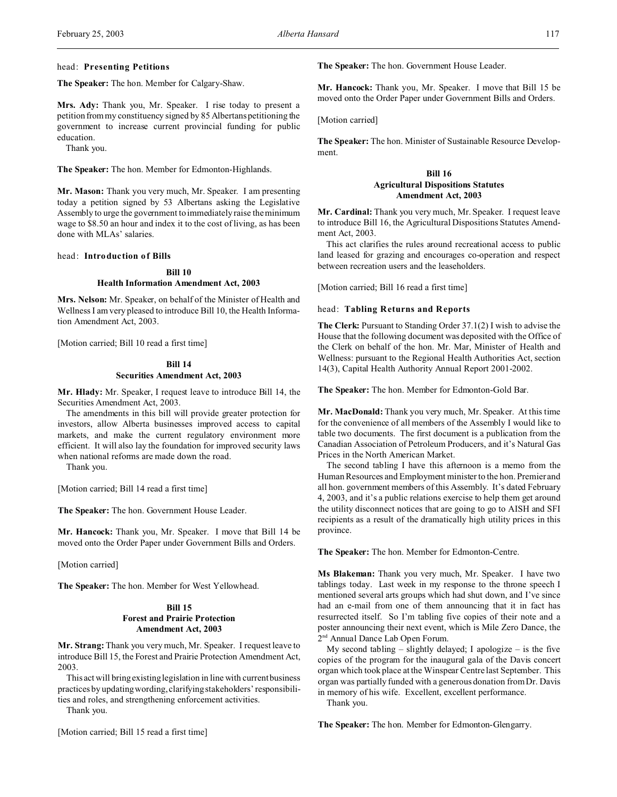## head: **Presenting Petitions**

**The Speaker:** The hon. Member for Calgary-Shaw.

**Mrs. Ady:** Thank you, Mr. Speaker. I rise today to present a petition from my constituency signed by 85 Albertans petitioning the government to increase current provincial funding for public education.

Thank you.

**The Speaker:** The hon. Member for Edmonton-Highlands.

**Mr. Mason:** Thank you very much, Mr. Speaker. I am presenting today a petition signed by 53 Albertans asking the Legislative Assembly to urge the government to immediately raise the minimum wage to \$8.50 an hour and index it to the cost of living, as has been done with MLAs' salaries.

# head: **Introduction of Bills**

# **Bill 10 Health Information Amendment Act, 2003**

**Mrs. Nelson:** Mr. Speaker, on behalf of the Minister of Health and Wellness I am very pleased to introduce Bill 10, the Health Information Amendment Act, 2003.

[Motion carried; Bill 10 read a first time]

# **Bill 14 Securities Amendment Act, 2003**

**Mr. Hlady:** Mr. Speaker, I request leave to introduce Bill 14, the Securities Amendment Act, 2003.

The amendments in this bill will provide greater protection for investors, allow Alberta businesses improved access to capital markets, and make the current regulatory environment more efficient. It will also lay the foundation for improved security laws when national reforms are made down the road.

Thank you.

[Motion carried; Bill 14 read a first time]

**The Speaker:** The hon. Government House Leader.

**Mr. Hancock:** Thank you, Mr. Speaker. I move that Bill 14 be moved onto the Order Paper under Government Bills and Orders.

[Motion carried]

**The Speaker:** The hon. Member for West Yellowhead.

# **Bill 15 Forest and Prairie Protection Amendment Act, 2003**

**Mr. Strang:** Thank you very much, Mr. Speaker. I request leave to introduce Bill 15, the Forest and Prairie Protection Amendment Act, 2003.

This act will bring existing legislation in line with current business practices by updating wording, clarifying stakeholders' responsibilities and roles, and strengthening enforcement activities.

Thank you.

[Motion carried; Bill 15 read a first time]

**The Speaker:** The hon. Government House Leader.

**Mr. Hancock:** Thank you, Mr. Speaker. I move that Bill 15 be moved onto the Order Paper under Government Bills and Orders.

[Motion carried]

**The Speaker:** The hon. Minister of Sustainable Resource Development.

# **Bill 16**

# **Agricultural Dispositions Statutes Amendment Act, 2003**

**Mr. Cardinal:** Thank you very much, Mr. Speaker. I request leave to introduce Bill 16, the Agricultural Dispositions Statutes Amendment Act, 2003.

This act clarifies the rules around recreational access to public land leased for grazing and encourages co-operation and respect between recreation users and the leaseholders.

[Motion carried; Bill 16 read a first time]

#### head: **Tabling Returns and Reports**

**The Clerk:** Pursuant to Standing Order 37.1(2) I wish to advise the House that the following document was deposited with the Office of the Clerk on behalf of the hon. Mr. Mar, Minister of Health and Wellness: pursuant to the Regional Health Authorities Act, section 14(3), Capital Health Authority Annual Report 2001-2002.

**The Speaker:** The hon. Member for Edmonton-Gold Bar.

**Mr. MacDonald:** Thank you very much, Mr. Speaker. At this time for the convenience of all members of the Assembly I would like to table two documents. The first document is a publication from the Canadian Association of Petroleum Producers, and it's Natural Gas Prices in the North American Market.

The second tabling I have this afternoon is a memo from the Human Resources and Employment minister to the hon. Premier and all hon. government members of this Assembly. It's dated February 4, 2003, and it's a public relations exercise to help them get around the utility disconnect notices that are going to go to AISH and SFI recipients as a result of the dramatically high utility prices in this province.

**The Speaker:** The hon. Member for Edmonton-Centre.

**Ms Blakeman:** Thank you very much, Mr. Speaker. I have two tablings today. Last week in my response to the throne speech I mentioned several arts groups which had shut down, and I've since had an e-mail from one of them announcing that it in fact has resurrected itself. So I'm tabling five copies of their note and a poster announcing their next event, which is Mile Zero Dance, the 2<sup>nd</sup> Annual Dance Lab Open Forum.

My second tabling – slightly delayed; I apologize – is the five copies of the program for the inaugural gala of the Davis concert organ which took place at the Winspear Centre last September. This organ was partially funded with a generous donation from Dr. Davis in memory of his wife. Excellent, excellent performance.

Thank you.

**The Speaker:** The hon. Member for Edmonton-Glengarry.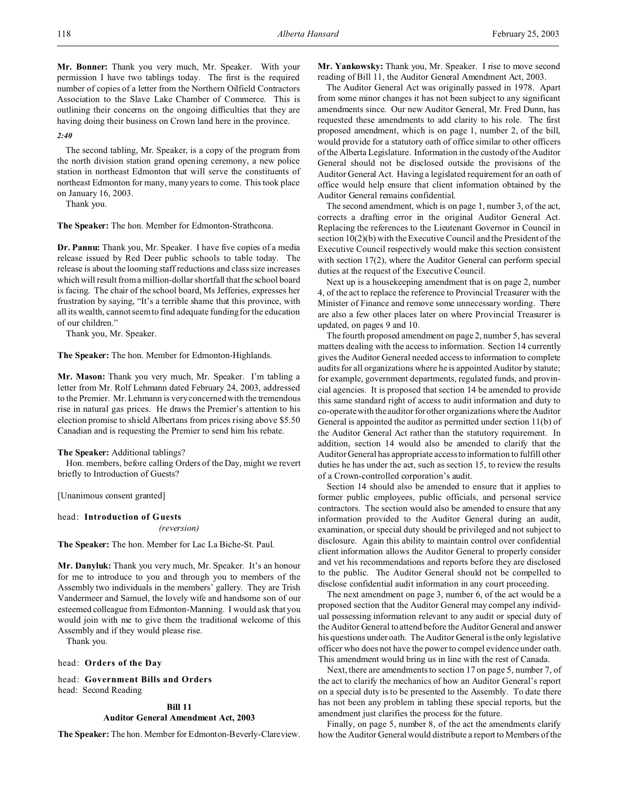**Mr. Bonner:** Thank you very much, Mr. Speaker. With your permission I have two tablings today. The first is the required number of copies of a letter from the Northern Oilfield Contractors Association to the Slave Lake Chamber of Commerce. This is outlining their concerns on the ongoing difficulties that they are having doing their business on Crown land here in the province.

#### *2:40*

The second tabling, Mr. Speaker, is a copy of the program from the north division station grand opening ceremony, a new police station in northeast Edmonton that will serve the constituents of northeast Edmonton for many, many years to come. This took place on January 16, 2003.

Thank you.

**The Speaker:** The hon. Member for Edmonton-Strathcona.

**Dr. Pannu:** Thank you, Mr. Speaker. I have five copies of a media release issued by Red Deer public schools to table today. The release is about the looming staff reductions and class size increases which will result from a million-dollar shortfall that the school board is facing. The chair of the school board, Ms Jefferies, expresses her frustration by saying, "It's a terrible shame that this province, with all its wealth, cannot seem to find adequate funding for the education of our children."

Thank you, Mr. Speaker.

**The Speaker:** The hon. Member for Edmonton-Highlands.

**Mr. Mason:** Thank you very much, Mr. Speaker. I'm tabling a letter from Mr. Rolf Lehmann dated February 24, 2003, addressed to the Premier. Mr. Lehmann is very concerned with the tremendous rise in natural gas prices. He draws the Premier's attention to his election promise to shield Albertans from prices rising above \$5.50 Canadian and is requesting the Premier to send him his rebate.

## **The Speaker:** Additional tablings?

Hon. members, before calling Orders of the Day, might we revert briefly to Introduction of Guests?

[Unanimous consent granted]

#### head: **Introduction of Guests**

## *(reversion)*

**The Speaker:** The hon. Member for Lac La Biche-St. Paul.

**Mr. Danyluk:** Thank you very much, Mr. Speaker. It's an honour for me to introduce to you and through you to members of the Assembly two individuals in the members' gallery. They are Trish Vandermeer and Samuel, the lovely wife and handsome son of our esteemed colleague from Edmonton-Manning. I would ask that you would join with me to give them the traditional welcome of this Assembly and if they would please rise.

Thank you.

head: **Orders of the Day**

head: **Government Bills and Orders** head: Second Reading

# **Bill 11**

# **Auditor General Amendment Act, 2003**

**The Speaker:** The hon. Member for Edmonton-Beverly-Clareview.

**Mr. Yankowsky:** Thank you, Mr. Speaker. I rise to move second reading of Bill 11, the Auditor General Amendment Act, 2003.

The Auditor General Act was originally passed in 1978. Apart from some minor changes it has not been subject to any significant amendments since. Our new Auditor General, Mr. Fred Dunn, has requested these amendments to add clarity to his role. The first proposed amendment, which is on page 1, number 2, of the bill, would provide for a statutory oath of office similar to other officers of the Alberta Legislature. Information in the custody of the Auditor General should not be disclosed outside the provisions of the Auditor General Act. Having a legislated requirement for an oath of office would help ensure that client information obtained by the Auditor General remains confidential.

The second amendment, which is on page 1, number 3, of the act, corrects a drafting error in the original Auditor General Act. Replacing the references to the Lieutenant Governor in Council in section 10(2)(b) with the Executive Council and the President of the Executive Council respectively would make this section consistent with section 17(2), where the Auditor General can perform special duties at the request of the Executive Council.

Next up is a housekeeping amendment that is on page 2, number 4, of the act to replace the reference to Provincial Treasurer with the Minister of Finance and remove some unnecessary wording. There are also a few other places later on where Provincial Treasurer is updated, on pages 9 and 10.

The fourth proposed amendment on page 2, number 5, has several matters dealing with the access to information. Section 14 currently gives the Auditor General needed access to information to complete audits for all organizations where he is appointed Auditor by statute; for example, government departments, regulated funds, and provincial agencies. It is proposed that section 14 be amended to provide this same standard right of access to audit information and duty to co-operate with the auditor for other organizations where theAuditor General is appointed the auditor as permitted under section 11(b) of the Auditor General Act rather than the statutory requirement. In addition, section 14 would also be amended to clarify that the Auditor General has appropriate access to information to fulfill other duties he has under the act, such as section 15, to review the results of a Crown-controlled corporation's audit.

Section 14 should also be amended to ensure that it applies to former public employees, public officials, and personal service contractors. The section would also be amended to ensure that any information provided to the Auditor General during an audit, examination, or special duty should be privileged and not subject to disclosure. Again this ability to maintain control over confidential client information allows the Auditor General to properly consider and vet his recommendations and reports before they are disclosed to the public. The Auditor General should not be compelled to disclose confidential audit information in any court proceeding.

The next amendment on page 3, number 6, of the act would be a proposed section that the Auditor General may compel any individual possessing information relevant to any audit or special duty of the Auditor General to attend before the Auditor General and answer his questions under oath. The Auditor General is the only legislative officer who does not have the power to compel evidence under oath. This amendment would bring us in line with the rest of Canada.

Next, there are amendments to section 17 on page 5, number 7, of the act to clarify the mechanics of how an Auditor General's report on a special duty is to be presented to the Assembly. To date there has not been any problem in tabling these special reports, but the amendment just clarifies the process for the future.

Finally, on page 5, number 8, of the act the amendments clarify how the Auditor General would distribute a report to Members of the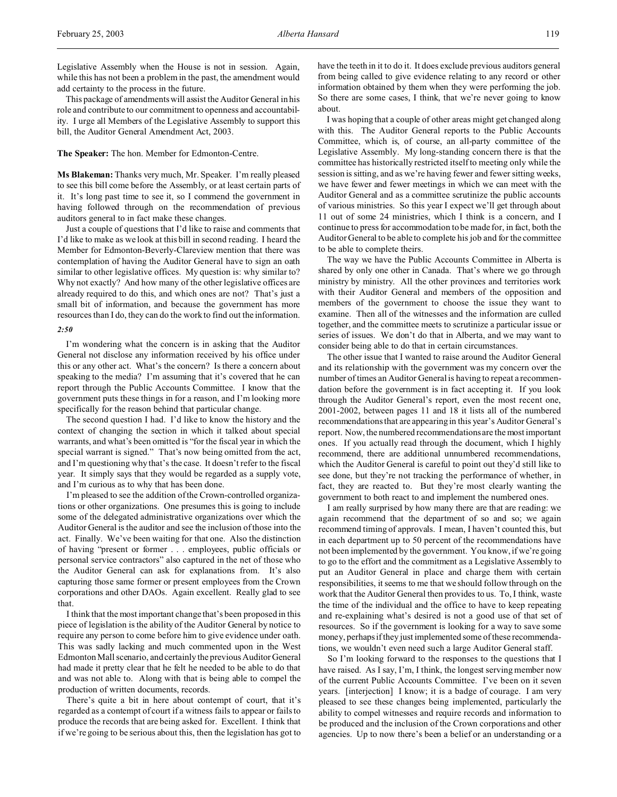Legislative Assembly when the House is not in session. Again, while this has not been a problem in the past, the amendment would add certainty to the process in the future.

This package of amendments will assist the Auditor General in his role and contribute to our commitment to openness and accountability. I urge all Members of the Legislative Assembly to support this bill, the Auditor General Amendment Act, 2003.

**The Speaker:** The hon. Member for Edmonton-Centre.

**Ms Blakeman:** Thanks very much, Mr. Speaker. I'm really pleased to see this bill come before the Assembly, or at least certain parts of it. It's long past time to see it, so I commend the government in having followed through on the recommendation of previous auditors general to in fact make these changes.

Just a couple of questions that I'd like to raise and comments that I'd like to make as we look at this bill in second reading. I heard the Member for Edmonton-Beverly-Clareview mention that there was contemplation of having the Auditor General have to sign an oath similar to other legislative offices. My question is: why similar to? Why not exactly? And how many of the other legislative offices are already required to do this, and which ones are not? That's just a small bit of information, and because the government has more resources than I do, they can do the work to find out the information.

# *2:50*

I'm wondering what the concern is in asking that the Auditor General not disclose any information received by his office under this or any other act. What's the concern? Is there a concern about speaking to the media? I'm assuming that it's covered that he can report through the Public Accounts Committee. I know that the government puts these things in for a reason, and I'm looking more specifically for the reason behind that particular change.

The second question I had. I'd like to know the history and the context of changing the section in which it talked about special warrants, and what's been omitted is "for the fiscal year in which the special warrant is signed." That's now being omitted from the act, and I'm questioning why that's the case. It doesn't refer to the fiscal year. It simply says that they would be regarded as a supply vote, and I'm curious as to why that has been done.

I'm pleased to see the addition of the Crown-controlled organizations or other organizations. One presumes this is going to include some of the delegated administrative organizations over which the Auditor General is the auditor and see the inclusion of those into the act. Finally. We've been waiting for that one. Also the distinction of having "present or former . . . employees, public officials or personal service contractors" also captured in the net of those who the Auditor General can ask for explanations from. It's also capturing those same former or present employees from the Crown corporations and other DAOs. Again excellent. Really glad to see that.

I think that the most important change that's been proposed in this piece of legislation is the ability of the Auditor General by notice to require any person to come before him to give evidence under oath. This was sadly lacking and much commented upon in the West Edmonton Mall scenario, and certainly the previous Auditor General had made it pretty clear that he felt he needed to be able to do that and was not able to. Along with that is being able to compel the production of written documents, records.

There's quite a bit in here about contempt of court, that it's regarded as a contempt of court if a witness fails to appear or fails to produce the records that are being asked for. Excellent. I think that if we're going to be serious about this, then the legislation has got to

have the teeth in it to do it. It does exclude previous auditors general from being called to give evidence relating to any record or other information obtained by them when they were performing the job. So there are some cases, I think, that we're never going to know about.

I was hoping that a couple of other areas might get changed along with this. The Auditor General reports to the Public Accounts Committee, which is, of course, an all-party committee of the Legislative Assembly. My long-standing concern there is that the committee has historically restricted itself to meeting only while the session is sitting, and as we're having fewer and fewer sitting weeks, we have fewer and fewer meetings in which we can meet with the Auditor General and as a committee scrutinize the public accounts of various ministries. So this year I expect we'll get through about 11 out of some 24 ministries, which I think is a concern, and I continue to press for accommodation to be made for, in fact, both the Auditor General to be able to complete his job and for the committee to be able to complete theirs.

The way we have the Public Accounts Committee in Alberta is shared by only one other in Canada. That's where we go through ministry by ministry. All the other provinces and territories work with their Auditor General and members of the opposition and members of the government to choose the issue they want to examine. Then all of the witnesses and the information are culled together, and the committee meets to scrutinize a particular issue or series of issues. We don't do that in Alberta, and we may want to consider being able to do that in certain circumstances.

The other issue that I wanted to raise around the Auditor General and its relationship with the government was my concern over the number of times an Auditor General is having to repeat a recommendation before the government is in fact accepting it. If you look through the Auditor General's report, even the most recent one, 2001-2002, between pages 11 and 18 it lists all of the numbered recommendations that are appearing in this year's Auditor General's report. Now, the numbered recommendations are the most important ones. If you actually read through the document, which I highly recommend, there are additional unnumbered recommendations, which the Auditor General is careful to point out they'd still like to see done, but they're not tracking the performance of whether, in fact, they are reacted to. But they're most clearly wanting the government to both react to and implement the numbered ones.

I am really surprised by how many there are that are reading: we again recommend that the department of so and so; we again recommend timing of approvals. I mean, I haven't counted this, but in each department up to 50 percent of the recommendations have not been implemented by the government. You know, if we're going to go to the effort and the commitment as a Legislative Assembly to put an Auditor General in place and charge them with certain responsibilities, it seems to me that we should follow through on the work that the Auditor General then provides to us. To, I think, waste the time of the individual and the office to have to keep repeating and re-explaining what's desired is not a good use of that set of resources. So if the government is looking for a way to save some money, perhaps if they just implemented some of these recommendations, we wouldn't even need such a large Auditor General staff.

So I'm looking forward to the responses to the questions that I have raised. As I say, I'm, I think, the longest serving member now of the current Public Accounts Committee. I've been on it seven years. [interjection] I know; it is a badge of courage. I am very pleased to see these changes being implemented, particularly the ability to compel witnesses and require records and information to be produced and the inclusion of the Crown corporations and other agencies. Up to now there's been a belief or an understanding or a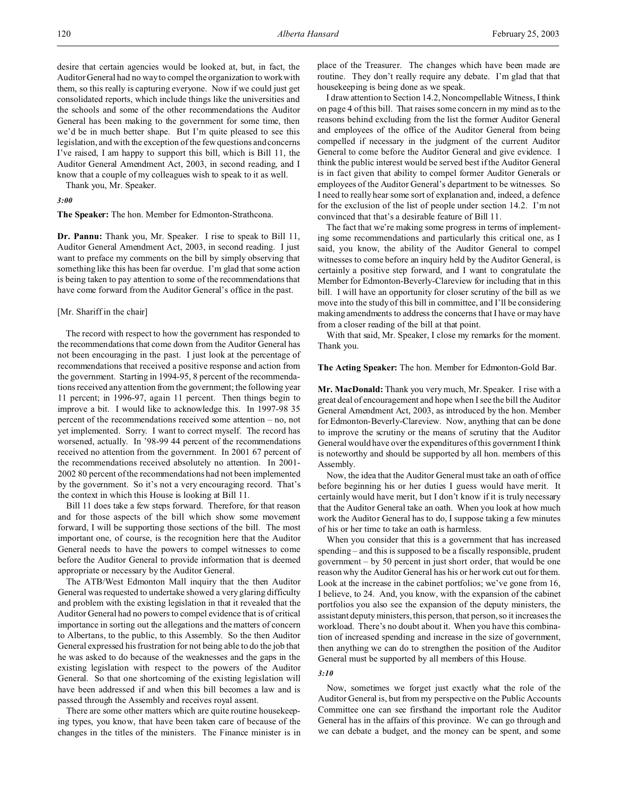desire that certain agencies would be looked at, but, in fact, the Auditor General had no way to compel the organization to work with them, so this really is capturing everyone. Now if we could just get consolidated reports, which include things like the universities and the schools and some of the other recommendations the Auditor General has been making to the government for some time, then we'd be in much better shape. But I'm quite pleased to see this legislation, and with the exception of the few questions and concerns I've raised, I am happy to support this bill, which is Bill 11, the Auditor General Amendment Act, 2003, in second reading, and I know that a couple of my colleagues wish to speak to it as well.

Thank you, Mr. Speaker.

# *3:00*

## **The Speaker:** The hon. Member for Edmonton-Strathcona.

**Dr. Pannu:** Thank you, Mr. Speaker. I rise to speak to Bill 11, Auditor General Amendment Act, 2003, in second reading. I just want to preface my comments on the bill by simply observing that something like this has been far overdue. I'm glad that some action is being taken to pay attention to some of the recommendations that have come forward from the Auditor General's office in the past.

#### [Mr. Shariff in the chair]

The record with respect to how the government has responded to the recommendations that come down from the Auditor General has not been encouraging in the past. I just look at the percentage of recommendations that received a positive response and action from the government. Starting in 1994-95, 8 percent of the recommendations received any attention from the government; the following year 11 percent; in 1996-97, again 11 percent. Then things begin to improve a bit. I would like to acknowledge this. In 1997-98 35 percent of the recommendations received some attention – no, not yet implemented. Sorry. I want to correct myself. The record has worsened, actually. In '98-99 44 percent of the recommendations received no attention from the government. In 2001 67 percent of the recommendations received absolutely no attention. In 2001- 2002 80 percent of the recommendations had not been implemented by the government. So it's not a very encouraging record. That's the context in which this House is looking at Bill 11.

Bill 11 does take a few steps forward. Therefore, for that reason and for those aspects of the bill which show some movement forward, I will be supporting those sections of the bill. The most important one, of course, is the recognition here that the Auditor General needs to have the powers to compel witnesses to come before the Auditor General to provide information that is deemed appropriate or necessary by the Auditor General.

The ATB/West Edmonton Mall inquiry that the then Auditor General was requested to undertake showed a very glaring difficulty and problem with the existing legislation in that it revealed that the Auditor General had no powers to compel evidence that is of critical importance in sorting out the allegations and the matters of concern to Albertans, to the public, to this Assembly. So the then Auditor General expressed his frustration for not being able to do the job that he was asked to do because of the weaknesses and the gaps in the existing legislation with respect to the powers of the Auditor General. So that one shortcoming of the existing legislation will have been addressed if and when this bill becomes a law and is passed through the Assembly and receives royal assent.

There are some other matters which are quite routine housekeeping types, you know, that have been taken care of because of the changes in the titles of the ministers. The Finance minister is in place of the Treasurer. The changes which have been made are routine. They don't really require any debate. I'm glad that that housekeeping is being done as we speak.

I draw attention to Section 14.2, Noncompellable Witness, I think on page 4 of this bill. That raises some concern in my mind as to the reasons behind excluding from the list the former Auditor General and employees of the office of the Auditor General from being compelled if necessary in the judgment of the current Auditor General to come before the Auditor General and give evidence. I think the public interest would be served best if the Auditor General is in fact given that ability to compel former Auditor Generals or employees of the Auditor General's department to be witnesses. So I need to really hear some sort of explanation and, indeed, a defence for the exclusion of the list of people under section 14.2. I'm not convinced that that's a desirable feature of Bill 11.

The fact that we're making some progress in terms of implementing some recommendations and particularly this critical one, as I said, you know, the ability of the Auditor General to compel witnesses to come before an inquiry held by the Auditor General, is certainly a positive step forward, and I want to congratulate the Member for Edmonton-Beverly-Clareview for including that in this bill. I will have an opportunity for closer scrutiny of the bill as we move into the study of this bill in committee, and I'll be considering making amendments to address the concerns that I have or may have from a closer reading of the bill at that point.

With that said, Mr. Speaker, I close my remarks for the moment. Thank you.

#### **The Acting Speaker:** The hon. Member for Edmonton-Gold Bar.

**Mr. MacDonald:** Thank you very much, Mr. Speaker. I rise with a great deal of encouragement and hope when I see the bill the Auditor General Amendment Act, 2003, as introduced by the hon. Member for Edmonton-Beverly-Clareview. Now, anything that can be done to improve the scrutiny or the means of scrutiny that the Auditor General would have over the expenditures of this government I think is noteworthy and should be supported by all hon. members of this Assembly.

Now, the idea that the Auditor General must take an oath of office before beginning his or her duties I guess would have merit. It certainly would have merit, but I don't know if it is truly necessary that the Auditor General take an oath. When you look at how much work the Auditor General has to do, I suppose taking a few minutes of his or her time to take an oath is harmless.

When you consider that this is a government that has increased spending – and this is supposed to be a fiscally responsible, prudent government – by 50 percent in just short order, that would be one reason why the Auditor General has his or her work cut out for them. Look at the increase in the cabinet portfolios; we've gone from 16, I believe, to 24. And, you know, with the expansion of the cabinet portfolios you also see the expansion of the deputy ministers, the assistant deputy ministers, this person, that person, so it increases the workload. There's no doubt about it. When you have this combination of increased spending and increase in the size of government, then anything we can do to strengthen the position of the Auditor General must be supported by all members of this House.

#### *3:10*

Now, sometimes we forget just exactly what the role of the Auditor General is, but from my perspective on the Public Accounts Committee one can see firsthand the important role the Auditor General has in the affairs of this province. We can go through and we can debate a budget, and the money can be spent, and some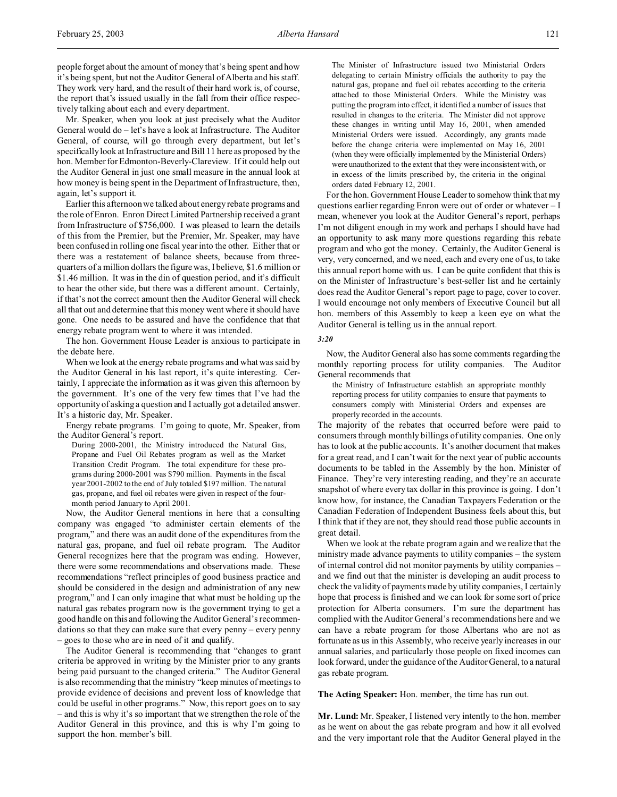people forget about the amount of money that's being spent and how it's being spent, but not the Auditor General of Alberta and his staff. They work very hard, and the result of their hard work is, of course, the report that's issued usually in the fall from their office respectively talking about each and every department.

Mr. Speaker, when you look at just precisely what the Auditor General would do – let's have a look at Infrastructure. The Auditor General, of course, will go through every department, but let's specifically look at Infrastructure and Bill 11 here as proposed by the hon. Member for Edmonton-Beverly-Clareview. If it could help out the Auditor General in just one small measure in the annual look at how money is being spent in the Department of Infrastructure, then, again, let's support it.

Earlier this afternoon we talked about energy rebate programs and the role of Enron. Enron Direct Limited Partnership received a grant from Infrastructure of \$756,000. I was pleased to learn the details of this from the Premier, but the Premier, Mr. Speaker, may have been confused in rolling one fiscal year into the other. Either that or there was a restatement of balance sheets, because from threequarters of a million dollars the figure was, I believe, \$1.6 million or \$1.46 million. It was in the din of question period, and it's difficult to hear the other side, but there was a different amount. Certainly, if that's not the correct amount then the Auditor General will check all that out and determine that this money went where it should have gone. One needs to be assured and have the confidence that that energy rebate program went to where it was intended.

The hon. Government House Leader is anxious to participate in the debate here.

When we look at the energy rebate programs and what was said by the Auditor General in his last report, it's quite interesting. Certainly, I appreciate the information as it was given this afternoon by the government. It's one of the very few times that I've had the opportunity of asking a question and I actually got a detailed answer. It's a historic day, Mr. Speaker.

Energy rebate programs. I'm going to quote, Mr. Speaker, from the Auditor General's report.

During 2000-2001, the Ministry introduced the Natural Gas, Propane and Fuel Oil Rebates program as well as the Market Transition Credit Program. The total expenditure for these programs during 2000-2001 was \$790 million. Payments in the fiscal year 2001-2002 to the end of July totaled \$197 million. The natural gas, propane, and fuel oil rebates were given in respect of the fourmonth period January to April 2001.

Now, the Auditor General mentions in here that a consulting company was engaged "to administer certain elements of the program," and there was an audit done of the expenditures from the natural gas, propane, and fuel oil rebate program. The Auditor General recognizes here that the program was ending. However, there were some recommendations and observations made. These recommendations "reflect principles of good business practice and should be considered in the design and administration of any new program," and I can only imagine that what must be holding up the natural gas rebates program now is the government trying to get a good handle on this and following the Auditor General's recommendations so that they can make sure that every penny – every penny – goes to those who are in need of it and qualify.

The Auditor General is recommending that "changes to grant criteria be approved in writing by the Minister prior to any grants being paid pursuant to the changed criteria." The Auditor General is also recommending that the ministry "keep minutes of meetings to provide evidence of decisions and prevent loss of knowledge that could be useful in other programs." Now, this report goes on to say – and this is why it's so important that we strengthen the role of the Auditor General in this province, and this is why I'm going to support the hon. member's bill.

The Minister of Infrastructure issued two Ministerial Orders delegating to certain Ministry officials the authority to pay the natural gas, propane and fuel oil rebates according to the criteria attached to those Ministerial Orders. While the Ministry was putting the program into effect, it identified a number of issues that resulted in changes to the criteria. The Minister did not approve these changes in writing until May 16, 2001, when amended Ministerial Orders were issued. Accordingly, any grants made before the change criteria were implemented on May 16, 2001 (when they were officially implemented by the Ministerial Orders) were unauthorized to the extent that they were inconsistent with, or in excess of the limits prescribed by, the criteria in the original orders dated February 12, 2001.

For the hon. Government House Leader to somehow think that my questions earlier regarding Enron were out of order or whatever – I mean, whenever you look at the Auditor General's report, perhaps I'm not diligent enough in my work and perhaps I should have had an opportunity to ask many more questions regarding this rebate program and who got the money. Certainly, the Auditor General is very, very concerned, and we need, each and every one of us, to take this annual report home with us. I can be quite confident that this is on the Minister of Infrastructure's best-seller list and he certainly does read the Auditor General's report page to page, cover to cover. I would encourage not only members of Executive Council but all hon. members of this Assembly to keep a keen eye on what the Auditor General is telling us in the annual report.

## *3:20*

Now, the Auditor General also has some comments regarding the monthly reporting process for utility companies. The Auditor General recommends that

the Ministry of Infrastructure establish an appropriate monthly reporting process for utility companies to ensure that payments to consumers comply with Ministerial Orders and expenses are properly recorded in the accounts.

The majority of the rebates that occurred before were paid to consumers through monthly billings of utility companies. One only has to look at the public accounts. It's another document that makes for a great read, and I can't wait for the next year of public accounts documents to be tabled in the Assembly by the hon. Minister of Finance. They're very interesting reading, and they're an accurate snapshot of where every tax dollar in this province is going. I don't know how, for instance, the Canadian Taxpayers Federation or the Canadian Federation of Independent Business feels about this, but I think that if they are not, they should read those public accounts in great detail.

When we look at the rebate program again and we realize that the ministry made advance payments to utility companies – the system of internal control did not monitor payments by utility companies – and we find out that the minister is developing an audit process to check the validity of payments made by utility companies, I certainly hope that process is finished and we can look for some sort of price protection for Alberta consumers. I'm sure the department has complied with the Auditor General's recommendations here and we can have a rebate program for those Albertans who are not as fortunate as us in this Assembly, who receive yearly increases in our annual salaries, and particularly those people on fixed incomes can look forward, under the guidance of the Auditor General, to a natural gas rebate program.

**The Acting Speaker:** Hon. member, the time has run out.

**Mr. Lund:** Mr. Speaker, I listened very intently to the hon. member as he went on about the gas rebate program and how it all evolved and the very important role that the Auditor General played in the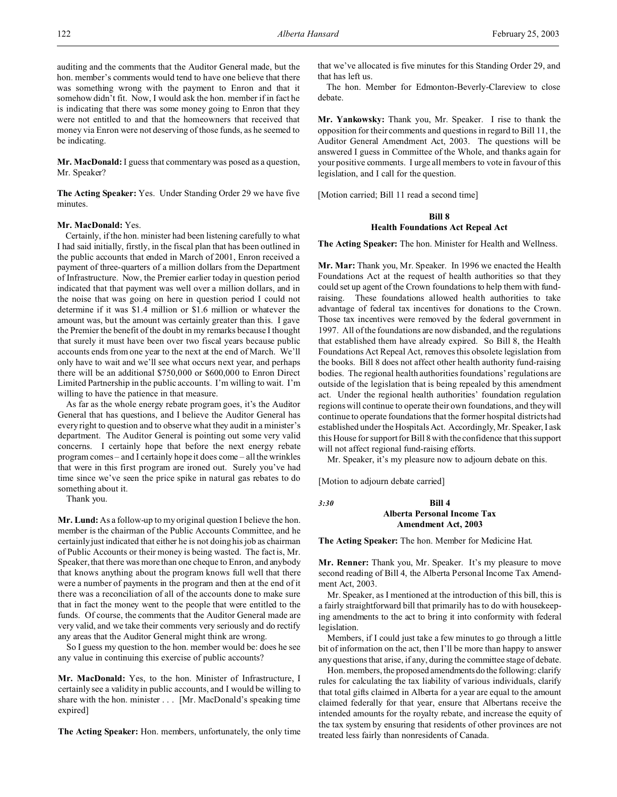auditing and the comments that the Auditor General made, but the hon. member's comments would tend to have one believe that there was something wrong with the payment to Enron and that it somehow didn't fit. Now, I would ask the hon. member if in fact he is indicating that there was some money going to Enron that they were not entitled to and that the homeowners that received that money via Enron were not deserving of those funds, as he seemed to be indicating.

**Mr. MacDonald:** I guess that commentary was posed as a question, Mr. Speaker?

**The Acting Speaker:** Yes. Under Standing Order 29 we have five minutes.

# **Mr. MacDonald:** Yes.

Certainly, if the hon. minister had been listening carefully to what I had said initially, firstly, in the fiscal plan that has been outlined in the public accounts that ended in March of 2001, Enron received a payment of three-quarters of a million dollars from the Department of Infrastructure. Now, the Premier earlier today in question period indicated that that payment was well over a million dollars, and in the noise that was going on here in question period I could not determine if it was \$1.4 million or \$1.6 million or whatever the amount was, but the amount was certainly greater than this. I gave the Premier the benefit of the doubt in my remarks because I thought that surely it must have been over two fiscal years because public accounts ends from one year to the next at the end of March. We'll only have to wait and we'll see what occurs next year, and perhaps there will be an additional \$750,000 or \$600,000 to Enron Direct Limited Partnership in the public accounts. I'm willing to wait. I'm willing to have the patience in that measure.

As far as the whole energy rebate program goes, it's the Auditor General that has questions, and I believe the Auditor General has every right to question and to observe what they audit in a minister's department. The Auditor General is pointing out some very valid concerns. I certainly hope that before the next energy rebate program comes – and I certainly hope it does come – all the wrinkles that were in this first program are ironed out. Surely you've had time since we've seen the price spike in natural gas rebates to do something about it.

Thank you.

**Mr. Lund:** As a follow-up to my original question I believe the hon. member is the chairman of the Public Accounts Committee, and he certainly just indicated that either he is not doing his job as chairman of Public Accounts or their money is being wasted. The fact is, Mr. Speaker, that there was more than one cheque to Enron, and anybody that knows anything about the program knows full well that there were a number of payments in the program and then at the end of it there was a reconciliation of all of the accounts done to make sure that in fact the money went to the people that were entitled to the funds. Of course, the comments that the Auditor General made are very valid, and we take their comments very seriously and do rectify any areas that the Auditor General might think are wrong.

So I guess my question to the hon. member would be: does he see any value in continuing this exercise of public accounts?

**Mr. MacDonald:** Yes, to the hon. Minister of Infrastructure, I certainly see a validity in public accounts, and I would be willing to share with the hon. minister . . . [Mr. MacDonald's speaking time expired]

**The Acting Speaker:** Hon. members, unfortunately, the only time

that we've allocated is five minutes for this Standing Order 29, and that has left us.

The hon. Member for Edmonton-Beverly-Clareview to close debate.

**Mr. Yankowsky:** Thank you, Mr. Speaker. I rise to thank the opposition for their comments and questions in regard to Bill 11, the Auditor General Amendment Act, 2003. The questions will be answered I guess in Committee of the Whole, and thanks again for your positive comments. I urge all members to vote in favour of this legislation, and I call for the question.

[Motion carried; Bill 11 read a second time]

# **Bill 8 Health Foundations Act Repeal Act**

**The Acting Speaker:** The hon. Minister for Health and Wellness.

**Mr. Mar:** Thank you, Mr. Speaker. In 1996 we enacted the Health Foundations Act at the request of health authorities so that they could set up agent of the Crown foundations to help them with fundraising. These foundations allowed health authorities to take advantage of federal tax incentives for donations to the Crown. Those tax incentives were removed by the federal government in 1997. All of the foundations are now disbanded, and the regulations that established them have already expired. So Bill 8, the Health Foundations Act Repeal Act, removes this obsolete legislation from the books. Bill 8 does not affect other health authority fund-raising bodies. The regional health authorities foundations' regulations are outside of the legislation that is being repealed by this amendment act. Under the regional health authorities' foundation regulation regions will continue to operate their own foundations, and they will continue to operate foundations that the former hospital districts had established under the Hospitals Act. Accordingly, Mr. Speaker, I ask this House for support for Bill 8 with the confidence that this support will not affect regional fund-raising efforts.

Mr. Speaker, it's my pleasure now to adjourn debate on this.

[Motion to adjourn debate carried]

*3:30* **Bill 4**

# **Alberta Personal Income Tax Amendment Act, 2003**

**The Acting Speaker:** The hon. Member for Medicine Hat.

**Mr. Renner:** Thank you, Mr. Speaker. It's my pleasure to move second reading of Bill 4, the Alberta Personal Income Tax Amendment Act, 2003.

Mr. Speaker, as I mentioned at the introduction of this bill, this is a fairly straightforward bill that primarily has to do with housekeeping amendments to the act to bring it into conformity with federal legislation.

Members, if I could just take a few minutes to go through a little bit of information on the act, then I'll be more than happy to answer any questions that arise, if any, during the committee stage of debate.

Hon. members, the proposed amendments do the following: clarify rules for calculating the tax liability of various individuals, clarify that total gifts claimed in Alberta for a year are equal to the amount claimed federally for that year, ensure that Albertans receive the intended amounts for the royalty rebate, and increase the equity of the tax system by ensuring that residents of other provinces are not treated less fairly than nonresidents of Canada.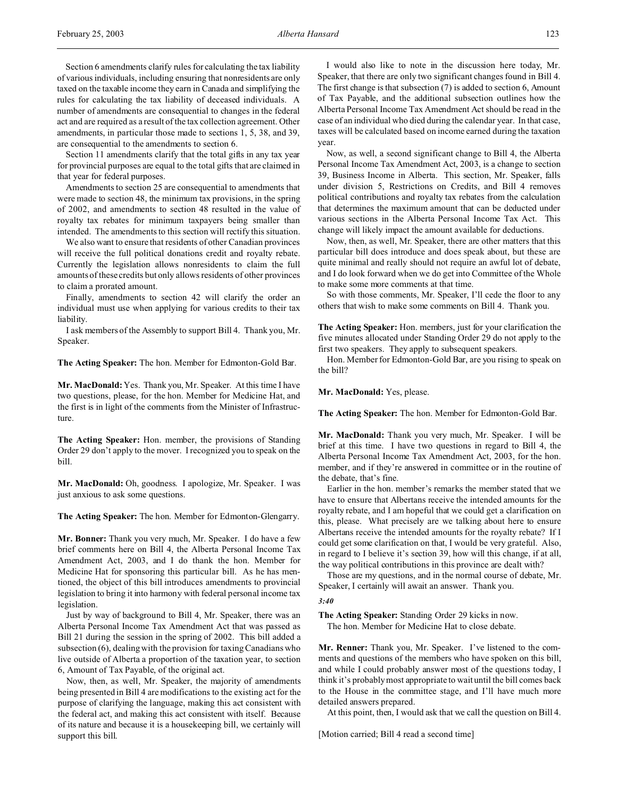Section 6 amendments clarify rules for calculating the tax liability of various individuals, including ensuring that nonresidents are only taxed on the taxable income they earn in Canada and simplifying the rules for calculating the tax liability of deceased individuals. A number of amendments are consequential to changes in the federal act and are required as a result of the tax collection agreement. Other amendments, in particular those made to sections 1, 5, 38, and 39, are consequential to the amendments to section 6.

Section 11 amendments clarify that the total gifts in any tax year for provincial purposes are equal to the total gifts that are claimed in that year for federal purposes.

Amendments to section 25 are consequential to amendments that were made to section 48, the minimum tax provisions, in the spring of 2002, and amendments to section 48 resulted in the value of royalty tax rebates for minimum taxpayers being smaller than intended. The amendments to this section will rectify this situation.

We also want to ensure that residents of other Canadian provinces will receive the full political donations credit and royalty rebate. Currently the legislation allows nonresidents to claim the full amounts of these credits but only allows residents of other provinces to claim a prorated amount.

Finally, amendments to section 42 will clarify the order an individual must use when applying for various credits to their tax liability.

I ask members of the Assembly to support Bill 4. Thank you, Mr. Speaker.

**The Acting Speaker:** The hon. Member for Edmonton-Gold Bar.

**Mr. MacDonald:** Yes. Thank you, Mr. Speaker. At this time I have two questions, please, for the hon. Member for Medicine Hat, and the first is in light of the comments from the Minister of Infrastructure.

**The Acting Speaker:** Hon. member, the provisions of Standing Order 29 don't apply to the mover. I recognized you to speak on the bill.

**Mr. MacDonald:** Oh, goodness. I apologize, Mr. Speaker. I was just anxious to ask some questions.

**The Acting Speaker:** The hon. Member for Edmonton-Glengarry.

**Mr. Bonner:** Thank you very much, Mr. Speaker. I do have a few brief comments here on Bill 4, the Alberta Personal Income Tax Amendment Act, 2003, and I do thank the hon. Member for Medicine Hat for sponsoring this particular bill. As he has mentioned, the object of this bill introduces amendments to provincial legislation to bring it into harmony with federal personal income tax legislation.

Just by way of background to Bill 4, Mr. Speaker, there was an Alberta Personal Income Tax Amendment Act that was passed as Bill 21 during the session in the spring of 2002. This bill added a subsection (6), dealing with the provision for taxing Canadians who live outside of Alberta a proportion of the taxation year, to section 6, Amount of Tax Payable, of the original act.

Now, then, as well, Mr. Speaker, the majority of amendments being presented in Bill 4 are modifications to the existing act for the purpose of clarifying the language, making this act consistent with the federal act, and making this act consistent with itself. Because of its nature and because it is a housekeeping bill, we certainly will support this bill.

I would also like to note in the discussion here today, Mr. Speaker, that there are only two significant changes found in Bill 4. The first change is that subsection (7) is added to section 6, Amount of Tax Payable, and the additional subsection outlines how the Alberta Personal Income Tax Amendment Act should be read in the case of an individual who died during the calendar year. In that case, taxes will be calculated based on income earned during the taxation year.

Now, as well, a second significant change to Bill 4, the Alberta Personal Income Tax Amendment Act, 2003, is a change to section 39, Business Income in Alberta. This section, Mr. Speaker, falls under division 5, Restrictions on Credits, and Bill 4 removes political contributions and royalty tax rebates from the calculation that determines the maximum amount that can be deducted under various sections in the Alberta Personal Income Tax Act. This change will likely impact the amount available for deductions.

Now, then, as well, Mr. Speaker, there are other matters that this particular bill does introduce and does speak about, but these are quite minimal and really should not require an awful lot of debate, and I do look forward when we do get into Committee of the Whole to make some more comments at that time.

So with those comments, Mr. Speaker, I'll cede the floor to any others that wish to make some comments on Bill 4. Thank you.

**The Acting Speaker:** Hon. members, just for your clarification the five minutes allocated under Standing Order 29 do not apply to the first two speakers. They apply to subsequent speakers.

Hon. Member for Edmonton-Gold Bar, are you rising to speak on the bill?

**Mr. MacDonald:** Yes, please.

**The Acting Speaker:** The hon. Member for Edmonton-Gold Bar.

**Mr. MacDonald:** Thank you very much, Mr. Speaker. I will be brief at this time. I have two questions in regard to Bill 4, the Alberta Personal Income Tax Amendment Act, 2003, for the hon. member, and if they're answered in committee or in the routine of the debate, that's fine.

Earlier in the hon. member's remarks the member stated that we have to ensure that Albertans receive the intended amounts for the royalty rebate, and I am hopeful that we could get a clarification on this, please. What precisely are we talking about here to ensure Albertans receive the intended amounts for the royalty rebate? If I could get some clarification on that, I would be very grateful. Also, in regard to I believe it's section 39, how will this change, if at all, the way political contributions in this province are dealt with?

Those are my questions, and in the normal course of debate, Mr. Speaker, I certainly will await an answer. Thank you.

# *3:40*

**The Acting Speaker:** Standing Order 29 kicks in now. The hon. Member for Medicine Hat to close debate.

**Mr. Renner:** Thank you, Mr. Speaker. I've listened to the comments and questions of the members who have spoken on this bill, and while I could probably answer most of the questions today, I think it's probably most appropriate to wait until the bill comes back to the House in the committee stage, and I'll have much more detailed answers prepared.

At this point, then, I would ask that we call the question on Bill 4.

[Motion carried; Bill 4 read a second time]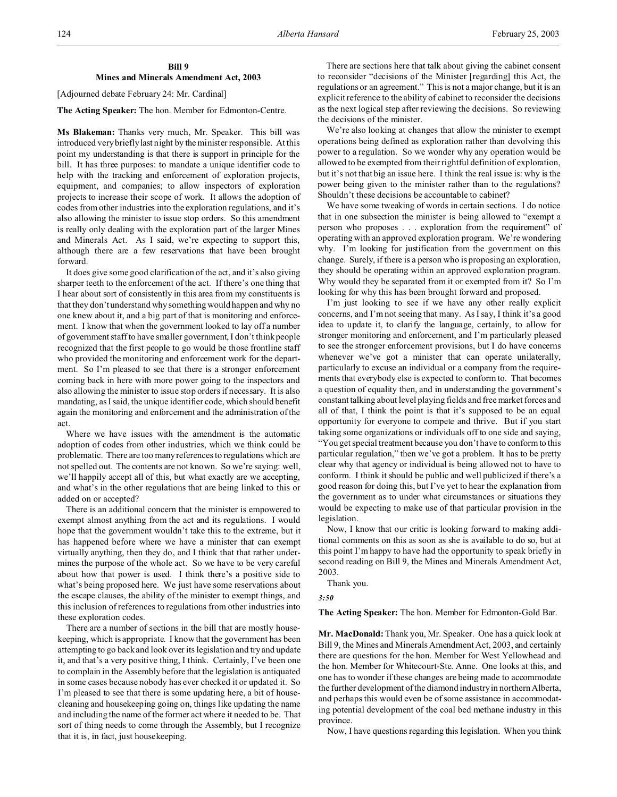[Adjourned debate February 24: Mr. Cardinal]

# **The Acting Speaker:** The hon. Member for Edmonton-Centre.

**Ms Blakeman:** Thanks very much, Mr. Speaker. This bill was introduced very briefly last night by the minister responsible. At this point my understanding is that there is support in principle for the bill. It has three purposes: to mandate a unique identifier code to help with the tracking and enforcement of exploration projects, equipment, and companies; to allow inspectors of exploration projects to increase their scope of work. It allows the adoption of codes from other industries into the exploration regulations, and it's also allowing the minister to issue stop orders. So this amendment is really only dealing with the exploration part of the larger Mines and Minerals Act. As I said, we're expecting to support this, although there are a few reservations that have been brought forward.

It does give some good clarification of the act, and it's also giving sharper teeth to the enforcement of the act. If there's one thing that I hear about sort of consistently in this area from my constituents is that they don't understand why something would happen and why no one knew about it, and a big part of that is monitoring and enforcement. I know that when the government looked to lay off a number of government staff to have smaller government, I don't think people recognized that the first people to go would be those frontline staff who provided the monitoring and enforcement work for the department. So I'm pleased to see that there is a stronger enforcement coming back in here with more power going to the inspectors and also allowing the minister to issue stop orders if necessary. It is also mandating, as I said, the unique identifier code, which should benefit again the monitoring and enforcement and the administration of the act.

Where we have issues with the amendment is the automatic adoption of codes from other industries, which we think could be problematic. There are too many references to regulations which are not spelled out. The contents are not known. So we're saying: well, we'll happily accept all of this, but what exactly are we accepting, and what's in the other regulations that are being linked to this or added on or accepted?

There is an additional concern that the minister is empowered to exempt almost anything from the act and its regulations. I would hope that the government wouldn't take this to the extreme, but it has happened before where we have a minister that can exempt virtually anything, then they do, and I think that that rather undermines the purpose of the whole act. So we have to be very careful about how that power is used. I think there's a positive side to what's being proposed here. We just have some reservations about the escape clauses, the ability of the minister to exempt things, and this inclusion of references to regulations from other industries into these exploration codes.

There are a number of sections in the bill that are mostly housekeeping, which is appropriate. I know that the government has been attempting to go back and look over its legislation and try and update it, and that's a very positive thing, I think. Certainly, I've been one to complain in the Assembly before that the legislation is antiquated in some cases because nobody has ever checked it or updated it. So I'm pleased to see that there is some updating here, a bit of housecleaning and housekeeping going on, things like updating the name and including the name of the former act where it needed to be. That sort of thing needs to come through the Assembly, but I recognize that it is, in fact, just housekeeping.

There are sections here that talk about giving the cabinet consent to reconsider "decisions of the Minister [regarding] this Act, the regulations or an agreement." This is not a major change, but it is an explicit reference to the ability of cabinet to reconsider the decisions as the next logical step after reviewing the decisions. So reviewing the decisions of the minister.

We're also looking at changes that allow the minister to exempt operations being defined as exploration rather than devolving this power to a regulation. So we wonder why any operation would be allowed to be exempted from their rightful definition of exploration, but it's not that big an issue here. I think the real issue is: why is the power being given to the minister rather than to the regulations? Shouldn't these decisions be accountable to cabinet?

We have some tweaking of words in certain sections. I do notice that in one subsection the minister is being allowed to "exempt a person who proposes . . . exploration from the requirement" of operating with an approved exploration program. We're wondering why. I'm looking for justification from the government on this change. Surely, if there is a person who is proposing an exploration, they should be operating within an approved exploration program. Why would they be separated from it or exempted from it? So I'm looking for why this has been brought forward and proposed.

I'm just looking to see if we have any other really explicit concerns, and I'm not seeing that many. As I say, I think it's a good idea to update it, to clarify the language, certainly, to allow for stronger monitoring and enforcement, and I'm particularly pleased to see the stronger enforcement provisions, but I do have concerns whenever we've got a minister that can operate unilaterally, particularly to excuse an individual or a company from the requirements that everybody else is expected to conform to. That becomes a question of equality then, and in understanding the government's constant talking about level playing fields and free market forces and all of that, I think the point is that it's supposed to be an equal opportunity for everyone to compete and thrive. But if you start taking some organizations or individuals off to one side and saying, "You get special treatment because you don't have to conform to this particular regulation," then we've got a problem. It has to be pretty clear why that agency or individual is being allowed not to have to conform. I think it should be public and well publicized if there's a good reason for doing this, but I've yet to hear the explanation from the government as to under what circumstances or situations they would be expecting to make use of that particular provision in the legislation.

Now, I know that our critic is looking forward to making additional comments on this as soon as she is available to do so, but at this point I'm happy to have had the opportunity to speak briefly in second reading on Bill 9, the Mines and Minerals Amendment Act, 2003.

Thank you.

*3:50*

**The Acting Speaker:** The hon. Member for Edmonton-Gold Bar.

**Mr. MacDonald:** Thank you, Mr. Speaker. One has a quick look at Bill 9, the Mines and Minerals Amendment Act, 2003, and certainly there are questions for the hon. Member for West Yellowhead and the hon. Member for Whitecourt-Ste. Anne. One looks at this, and one has to wonder if these changes are being made to accommodate the further development of the diamond industry in northern Alberta, and perhaps this would even be of some assistance in accommodating potential development of the coal bed methane industry in this province.

Now, I have questions regarding this legislation. When you think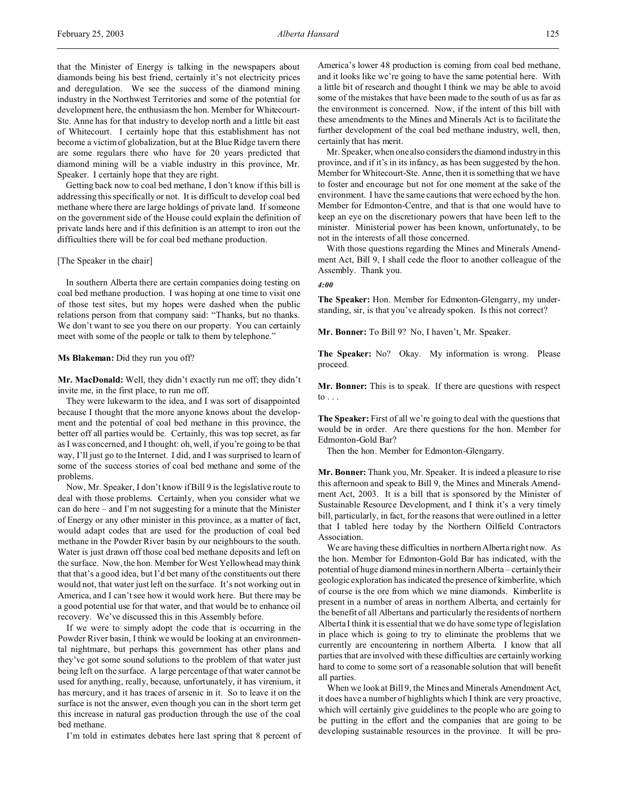that the Minister of Energy is talking in the newspapers about diamonds being his best friend, certainly it's not electricity prices and deregulation. We see the success of the diamond mining industry in the Northwest Territories and some of the potential for development here, the enthusiasm the hon. Member for Whitecourt-Ste. Anne has for that industry to develop north and a little bit east of Whitecourt. I certainly hope that this establishment has not become a victim of globalization, but at the Blue Ridge tavern there are some regulars there who have for 20 years predicted that diamond mining will be a viable industry in this province, Mr. Speaker. I certainly hope that they are right.

Getting back now to coal bed methane, I don't know if this bill is addressing this specifically or not. It is difficult to develop coal bed methane where there are large holdings of private land. If someone on the government side of the House could explain the definition of private lands here and if this definition is an attempt to iron out the difficulties there will be for coal bed methane production.

# [The Speaker in the chair]

In southern Alberta there are certain companies doing testing on coal bed methane production. I was hoping at one time to visit one of those test sites, but my hopes were dashed when the public relations person from that company said: "Thanks, but no thanks. We don't want to see you there on our property. You can certainly meet with some of the people or talk to them by telephone."

#### **Ms Blakeman:** Did they run you off?

**Mr. MacDonald:** Well, they didn't exactly run me off; they didn't invite me, in the first place, to run me off.

They were lukewarm to the idea, and I was sort of disappointed because I thought that the more anyone knows about the development and the potential of coal bed methane in this province, the better off all parties would be. Certainly, this was top secret, as far as I was concerned, and I thought: oh, well, if you're going to be that way, I'll just go to the Internet. I did, and I was surprised to learn of some of the success stories of coal bed methane and some of the problems.

Now, Mr. Speaker, I don't know if Bill 9 is the legislative route to deal with those problems. Certainly, when you consider what we can do here – and I'm not suggesting for a minute that the Minister of Energy or any other minister in this province, as a matter of fact, would adapt codes that are used for the production of coal bed methane in the Powder River basin by our neighbours to the south. Water is just drawn off those coal bed methane deposits and left on the surface. Now, the hon. Member for West Yellowhead may think that that's a good idea, but I'd bet many of the constituents out there would not, that water just left on the surface. It's not working out in America, and I can't see how it would work here. But there may be a good potential use for that water, and that would be to enhance oil recovery. We've discussed this in this Assembly before.

If we were to simply adopt the code that is occurring in the Powder River basin, I think we would be looking at an environmental nightmare, but perhaps this government has other plans and they've got some sound solutions to the problem of that water just being left on the surface. A large percentage of that water cannot be used for anything, really, because, unfortunately, it has virenium, it has mercury, and it has traces of arsenic in it. So to leave it on the surface is not the answer, even though you can in the short term get this increase in natural gas production through the use of the coal bed methane.

I'm told in estimates debates here last spring that 8 percent of

America's lower 48 production is coming from coal bed methane, and it looks like we're going to have the same potential here. With a little bit of research and thought I think we may be able to avoid some of the mistakes that have been made to the south of us as far as the environment is concerned. Now, if the intent of this bill with these amendments to the Mines and Minerals Act is to facilitate the further development of the coal bed methane industry, well, then, certainly that has merit.

Mr. Speaker, when one also considers the diamond industry in this province, and if it's in its infancy, as has been suggested by the hon. Member for Whitecourt-Ste. Anne, then it is something that we have to foster and encourage but not for one moment at the sake of the environment. I have the same cautions that were echoed by the hon. Member for Edmonton-Centre, and that is that one would have to keep an eye on the discretionary powers that have been left to the minister. Ministerial power has been known, unfortunately, to be not in the interests of all those concerned.

With those questions regarding the Mines and Minerals Amendment Act, Bill 9, I shall cede the floor to another colleague of the Assembly. Thank you.

#### *4:00*

**The Speaker:** Hon. Member for Edmonton-Glengarry, my understanding, sir, is that you've already spoken. Is this not correct?

**Mr. Bonner:** To Bill 9? No, I haven't, Mr. Speaker.

**The Speaker:** No? Okay. My information is wrong. Please proceed.

**Mr. Bonner:** This is to speak. If there are questions with respect to  $\ldots$ 

**The Speaker:** First of all we're going to deal with the questions that would be in order. Are there questions for the hon. Member for Edmonton-Gold Bar?

Then the hon. Member for Edmonton-Glengarry.

**Mr. Bonner:** Thank you, Mr. Speaker. It is indeed a pleasure to rise this afternoon and speak to Bill 9, the Mines and Minerals Amendment Act, 2003. It is a bill that is sponsored by the Minister of Sustainable Resource Development, and I think it's a very timely bill, particularly, in fact, for the reasons that were outlined in a letter that I tabled here today by the Northern Oilfield Contractors Association.

We are having these difficulties in northern Alberta right now. As the hon. Member for Edmonton-Gold Bar has indicated, with the potential of huge diamond mines in northern Alberta – certainly their geologic exploration has indicated the presence of kimberlite, which of course is the ore from which we mine diamonds. Kimberlite is present in a number of areas in northern Alberta, and certainly for the benefit of all Albertans and particularly the residents of northern Alberta I think it is essential that we do have some type of legislation in place which is going to try to eliminate the problems that we currently are encountering in northern Alberta. I know that all parties that are involved with these difficulties are certainly working hard to come to some sort of a reasonable solution that will benefit all parties.

When we look at Bill 9, the Mines and Minerals Amendment Act, it does have a number of highlights which I think are very proactive, which will certainly give guidelines to the people who are going to be putting in the effort and the companies that are going to be developing sustainable resources in the province. It will be pro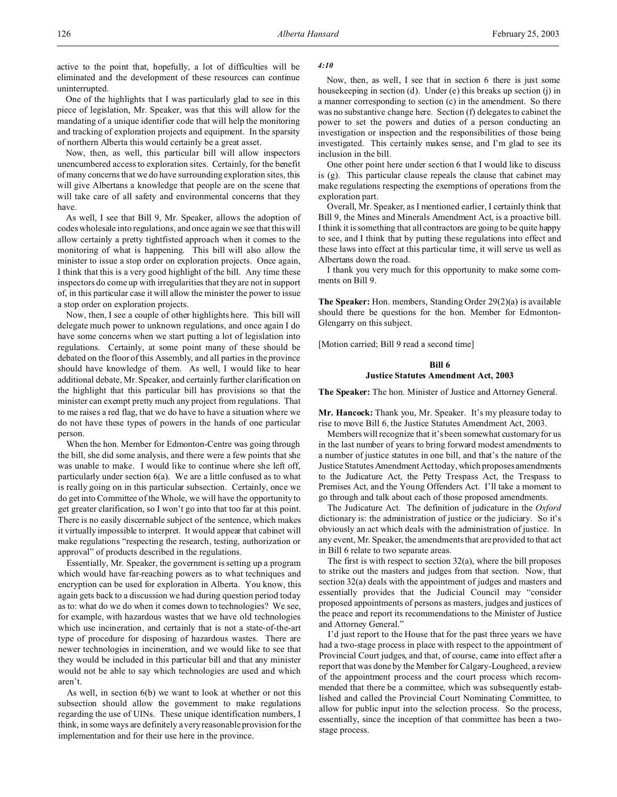active to the point that, hopefully, a lot of difficulties will be eliminated and the development of these resources can continue uninterrupted.

One of the highlights that I was particularly glad to see in this piece of legislation, Mr. Speaker, was that this will allow for the mandating of a unique identifier code that will help the monitoring and tracking of exploration projects and equipment. In the sparsity of northern Alberta this would certainly be a great asset.

Now, then, as well, this particular bill will allow inspectors unencumbered access to exploration sites. Certainly, for the benefit of many concerns that we do have surrounding exploration sites, this will give Albertans a knowledge that people are on the scene that will take care of all safety and environmental concerns that they have.

As well, I see that Bill 9, Mr. Speaker, allows the adoption of codes wholesale into regulations, and once again we see that this will allow certainly a pretty tightfisted approach when it comes to the monitoring of what is happening. This bill will also allow the minister to issue a stop order on exploration projects. Once again, I think that this is a very good highlight of the bill. Any time these inspectors do come up with irregularities that they are not in support of, in this particular case it will allow the minister the power to issue a stop order on exploration projects.

Now, then, I see a couple of other highlights here. This bill will delegate much power to unknown regulations, and once again I do have some concerns when we start putting a lot of legislation into regulations. Certainly, at some point many of these should be debated on the floor of this Assembly, and all parties in the province should have knowledge of them. As well, I would like to hear additional debate, Mr. Speaker, and certainly further clarification on the highlight that this particular bill has provisions so that the minister can exempt pretty much any project from regulations. That to me raises a red flag, that we do have to have a situation where we do not have these types of powers in the hands of one particular person.

When the hon. Member for Edmonton-Centre was going through the bill, she did some analysis, and there were a few points that she was unable to make. I would like to continue where she left off, particularly under section 6(a). We are a little confused as to what is really going on in this particular subsection. Certainly, once we do get into Committee of the Whole, we will have the opportunity to get greater clarification, so I won't go into that too far at this point. There is no easily discernable subject of the sentence, which makes it virtually impossible to interpret. It would appear that cabinet will make regulations "respecting the research, testing, authorization or approval" of products described in the regulations.

Essentially, Mr. Speaker, the government is setting up a program which would have far-reaching powers as to what techniques and encryption can be used for exploration in Alberta. You know, this again gets back to a discussion we had during question period today as to: what do we do when it comes down to technologies? We see, for example, with hazardous wastes that we have old technologies which use incineration, and certainly that is not a state-of-the-art type of procedure for disposing of hazardous wastes. There are newer technologies in incineration, and we would like to see that they would be included in this particular bill and that any minister would not be able to say which technologies are used and which aren't.

As well, in section 6(b) we want to look at whether or not this subsection should allow the government to make regulations regarding the use of UINs. These unique identification numbers, I think, in some ways are definitely a very reasonable provision for the implementation and for their use here in the province.

# *4:10*

Now, then, as well, I see that in section 6 there is just some housekeeping in section (d). Under (e) this breaks up section (j) in a manner corresponding to section (c) in the amendment. So there was no substantive change here. Section (f) delegates to cabinet the power to set the powers and duties of a person conducting an investigation or inspection and the responsibilities of those being investigated. This certainly makes sense, and I'm glad to see its inclusion in the bill.

One other point here under section 6 that I would like to discuss is (g). This particular clause repeals the clause that cabinet may make regulations respecting the exemptions of operations from the exploration part.

Overall, Mr. Speaker, as I mentioned earlier, I certainly think that Bill 9, the Mines and Minerals Amendment Act, is a proactive bill. I think it is something that all contractors are going to be quite happy to see, and I think that by putting these regulations into effect and these laws into effect at this particular time, it will serve us well as Albertans down the road.

I thank you very much for this opportunity to make some comments on Bill 9.

**The Speaker:** Hon. members, Standing Order 29(2)(a) is available should there be questions for the hon. Member for Edmonton-Glengarry on this subject.

[Motion carried; Bill 9 read a second time]

# **Bill 6**

# **Justice Statutes Amendment Act, 2003**

**The Speaker:** The hon. Minister of Justice and Attorney General.

**Mr. Hancock:** Thank you, Mr. Speaker. It's my pleasure today to rise to move Bill 6, the Justice Statutes Amendment Act, 2003.

Members will recognize that it's been somewhat customary for us in the last number of years to bring forward modest amendments to a number of justice statutes in one bill, and that's the nature of the Justice Statutes Amendment Act today, which proposes amendments to the Judicature Act, the Petty Trespass Act, the Trespass to Premises Act, and the Young Offenders Act. I'll take a moment to go through and talk about each of those proposed amendments.

The Judicature Act. The definition of judicature in the *Oxford* dictionary is: the administration of justice or the judiciary. So it's obviously an act which deals with the administration of justice. In any event, Mr. Speaker, the amendments that are provided to that act in Bill 6 relate to two separate areas.

The first is with respect to section  $32(a)$ , where the bill proposes to strike out the masters and judges from that section. Now, that section 32(a) deals with the appointment of judges and masters and essentially provides that the Judicial Council may "consider proposed appointments of persons as masters, judges and justices of the peace and report its recommendations to the Minister of Justice and Attorney General."

I'd just report to the House that for the past three years we have had a two-stage process in place with respect to the appointment of Provincial Court judges, and that, of course, came into effect after a report that was done by the Member for Calgary-Lougheed, a review of the appointment process and the court process which recommended that there be a committee, which was subsequently established and called the Provincial Court Nominating Committee, to allow for public input into the selection process. So the process, essentially, since the inception of that committee has been a twostage process.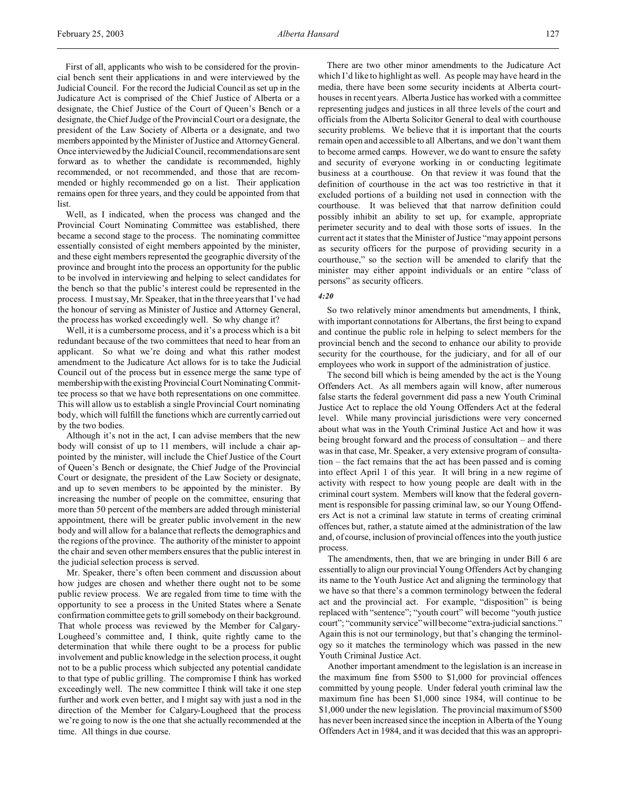First of all, applicants who wish to be considered for the provincial bench sent their applications in and were interviewed by the Judicial Council. For the record the Judicial Council as set up in the Judicature Act is comprised of the Chief Justice of Alberta or a designate, the Chief Justice of the Court of Queen's Bench or a designate, the Chief Judge of the Provincial Court or a designate, the president of the Law Society of Alberta or a designate, and two members appointed by the Minister of Justice and Attorney General. Once interviewed by the Judicial Council, recommendations are sent forward as to whether the candidate is recommended, highly recommended, or not recommended, and those that are recommended or highly recommended go on a list. Their application remains open for three years, and they could be appointed from that list.

Well, as I indicated, when the process was changed and the Provincial Court Nominating Committee was established, there became a second stage to the process. The nominating committee essentially consisted of eight members appointed by the minister, and these eight members represented the geographic diversity of the province and brought into the process an opportunity for the public to be involved in interviewing and helping to select candidates for the bench so that the public's interest could be represented in the process. I must say, Mr. Speaker, that in the three years that I've had the honour of serving as Minister of Justice and Attorney General, the process has worked exceedingly well. So why change it?

Well, it is a cumbersome process, and it's a process which is a bit redundant because of the two committees that need to hear from an applicant. So what we're doing and what this rather modest amendment to the Judicature Act allows for is to take the Judicial Council out of the process but in essence merge the same type of membership with the existing Provincial Court Nominating Committee process so that we have both representations on one committee. This will allow us to establish a single Provincial Court nominating body, which will fulfill the functions which are currently carried out by the two bodies.

Although it's not in the act, I can advise members that the new body will consist of up to 11 members, will include a chair appointed by the minister, will include the Chief Justice of the Court of Queen's Bench or designate, the Chief Judge of the Provincial Court or designate, the president of the Law Society or designate, and up to seven members to be appointed by the minister. By increasing the number of people on the committee, ensuring that more than 50 percent of the members are added through ministerial appointment, there will be greater public involvement in the new body and will allow for a balance that reflects the demographics and the regions of the province. The authority of the minister to appoint the chair and seven other members ensures that the public interest in the judicial selection process is served.

Mr. Speaker, there's often been comment and discussion about how judges are chosen and whether there ought not to be some public review process. We are regaled from time to time with the opportunity to see a process in the United States where a Senate confirmation committee gets to grill somebody on their background. That whole process was reviewed by the Member for Calgary-Lougheed's committee and, I think, quite rightly came to the determination that while there ought to be a process for public involvement and public knowledge in the selection process, it ought not to be a public process which subjected any potential candidate to that type of public grilling. The compromise I think has worked exceedingly well. The new committee I think will take it one step further and work even better, and I might say with just a nod in the direction of the Member for Calgary-Lougheed that the process we're going to now is the one that she actually recommended at the time. All things in due course.

There are two other minor amendments to the Judicature Act which I'd like to highlight as well. As people may have heard in the media, there have been some security incidents at Alberta courthouses in recent years. Alberta Justice has worked with a committee representing judges and justices in all three levels of the court and officials from the Alberta Solicitor General to deal with courthouse security problems. We believe that it is important that the courts remain open and accessible to all Albertans, and we don't want them to become armed camps. However, we do want to ensure the safety and security of everyone working in or conducting legitimate business at a courthouse. On that review it was found that the definition of courthouse in the act was too restrictive in that it excluded portions of a building not used in connection with the courthouse. It was believed that that narrow definition could possibly inhibit an ability to set up, for example, appropriate perimeter security and to deal with those sorts of issues. In the current act it states that the Minister of Justice "may appoint persons as security officers for the purpose of providing security in a courthouse," so the section will be amended to clarify that the minister may either appoint individuals or an entire "class of persons" as security officers.

#### *4:20*

So two relatively minor amendments but amendments, I think, with important connotations for Albertans, the first being to expand and continue the public role in helping to select members for the provincial bench and the second to enhance our ability to provide security for the courthouse, for the judiciary, and for all of our employees who work in support of the administration of justice.

The second bill which is being amended by the act is the Young Offenders Act. As all members again will know, after numerous false starts the federal government did pass a new Youth Criminal Justice Act to replace the old Young Offenders Act at the federal level. While many provincial jurisdictions were very concerned about what was in the Youth Criminal Justice Act and how it was being brought forward and the process of consultation – and there was in that case, Mr. Speaker, a very extensive program of consultation – the fact remains that the act has been passed and is coming into effect April 1 of this year. It will bring in a new regime of activity with respect to how young people are dealt with in the criminal court system. Members will know that the federal government is responsible for passing criminal law, so our Young Offenders Act is not a criminal law statute in terms of creating criminal offences but, rather, a statute aimed at the administration of the law and, of course, inclusion of provincial offences into the youth justice process.

The amendments, then, that we are bringing in under Bill 6 are essentially to align our provincial Young Offenders Act by changing its name to the Youth Justice Act and aligning the terminology that we have so that there's a common terminology between the federal act and the provincial act. For example, "disposition" is being replaced with "sentence"; "youth court" will become "youth justice court"; "community service" will become "extra-judicial sanctions." Again this is not our terminology, but that's changing the terminology so it matches the terminology which was passed in the new Youth Criminal Justice Act.

Another important amendment to the legislation is an increase in the maximum fine from \$500 to \$1,000 for provincial offences committed by young people. Under federal youth criminal law the maximum fine has been \$1,000 since 1984, will continue to be \$1,000 under the new legislation. The provincial maximum of \$500 has never been increased since the inception in Alberta of the Young Offenders Act in 1984, and it was decided that this was an appropri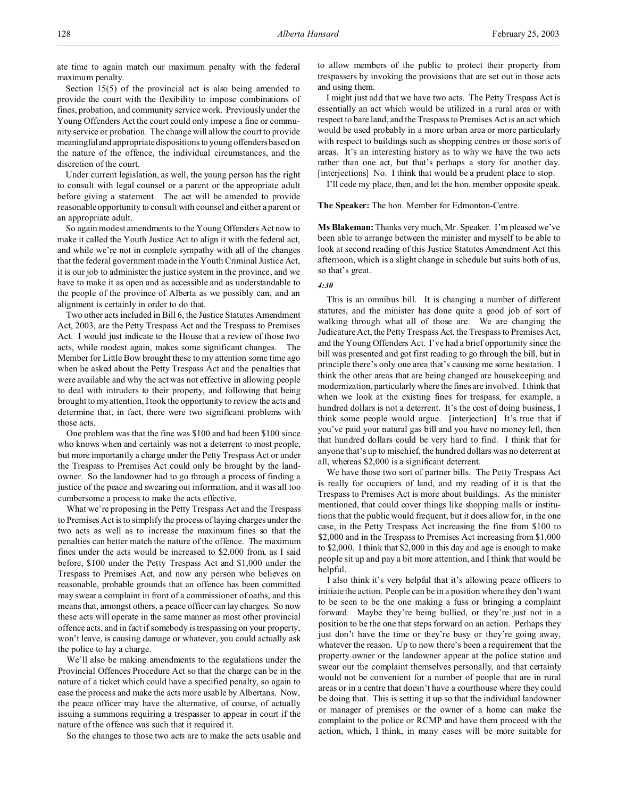ate time to again match our maximum penalty with the federal maximum penalty.

Section 15(5) of the provincial act is also being amended to provide the court with the flexibility to impose combinations of fines, probation, and community service work. Previously under the Young Offenders Act the court could only impose a fine or community service or probation. The change will allow the court to provide meaningfuland appropriate dispositions to young offenders based on the nature of the offence, the individual circumstances, and the discretion of the court.

Under current legislation, as well, the young person has the right to consult with legal counsel or a parent or the appropriate adult before giving a statement. The act will be amended to provide reasonable opportunity to consult with counsel and either a parent or an appropriate adult.

So again modest amendments to the Young Offenders Act now to make it called the Youth Justice Act to align it with the federal act, and while we're not in complete sympathy with all of the changes that the federal government made in the Youth Criminal Justice Act, it is our job to administer the justice system in the province, and we have to make it as open and as accessible and as understandable to the people of the province of Alberta as we possibly can, and an alignment is certainly in order to do that.

Two other acts included in Bill 6, the Justice Statutes Amendment Act, 2003, are the Petty Trespass Act and the Trespass to Premises Act. I would just indicate to the House that a review of those two acts, while modest again, makes some significant changes. The Member for Little Bow brought these to my attention some time ago when he asked about the Petty Trespass Act and the penalties that were available and why the act was not effective in allowing people to deal with intruders to their property, and following that being brought to my attention, I took the opportunity to review the acts and determine that, in fact, there were two significant problems with those acts.

One problem was that the fine was \$100 and had been \$100 since who knows when and certainly was not a deterrent to most people, but more importantly a charge under the Petty Trespass Act or under the Trespass to Premises Act could only be brought by the landowner. So the landowner had to go through a process of finding a justice of the peace and swearing out information, and it was all too cumbersome a process to make the acts effective.

What we're proposing in the Petty Trespass Act and the Trespass to Premises Act is to simplify the process of laying charges under the two acts as well as to increase the maximum fines so that the penalties can better match the nature of the offence. The maximum fines under the acts would be increased to \$2,000 from, as I said before, \$100 under the Petty Trespass Act and \$1,000 under the Trespass to Premises Act, and now any person who believes on reasonable, probable grounds that an offence has been committed may swear a complaint in front of a commissioner of oaths, and this means that, amongst others, a peace officer can lay charges. So now these acts will operate in the same manner as most other provincial offence acts, and in fact if somebody is trespassing on your property, won't leave, is causing damage or whatever, you could actually ask the police to lay a charge.

We'll also be making amendments to the regulations under the Provincial Offences Procedure Act so that the charge can be in the nature of a ticket which could have a specified penalty, so again to ease the process and make the acts more usable by Albertans. Now, the peace officer may have the alternative, of course, of actually issuing a summons requiring a trespasser to appear in court if the nature of the offence was such that it required it.

So the changes to those two acts are to make the acts usable and

to allow members of the public to protect their property from trespassers by invoking the provisions that are set out in those acts and using them.

I might just add that we have two acts. The Petty Trespass Act is essentially an act which would be utilized in a rural area or with respect to bare land, and the Trespass to Premises Act is an act which would be used probably in a more urban area or more particularly with respect to buildings such as shopping centres or those sorts of areas. It's an interesting history as to why we have the two acts rather than one act, but that's perhaps a story for another day. [interjections] No. I think that would be a prudent place to stop.

I'll cede my place, then, and let the hon. member opposite speak.

**The Speaker:** The hon. Member for Edmonton-Centre.

**Ms Blakeman:** Thanks very much, Mr. Speaker. I'm pleased we've been able to arrange between the minister and myself to be able to look at second reading of this Justice Statutes Amendment Act this afternoon, which is a slight change in schedule but suits both of us, so that's great.

#### *4:30*

This is an omnibus bill. It is changing a number of different statutes, and the minister has done quite a good job of sort of walking through what all of those are. We are changing the Judicature Act, the Petty Trespass Act, the Trespass to Premises Act, and the Young Offenders Act. I've had a brief opportunity since the bill was presented and got first reading to go through the bill, but in principle there's only one area that's causing me some hesitation. I think the other areas that are being changed are housekeeping and modernization, particularly where the fines are involved. I think that when we look at the existing fines for trespass, for example, a hundred dollars is not a deterrent. It's the cost of doing business, I think some people would argue. [interjection] It's true that if you've paid your natural gas bill and you have no money left, then that hundred dollars could be very hard to find. I think that for anyone that's up to mischief, the hundred dollars was no deterrent at all, whereas \$2,000 is a significant deterrent.

We have those two sort of partner bills. The Petty Trespass Act is really for occupiers of land, and my reading of it is that the Trespass to Premises Act is more about buildings. As the minister mentioned, that could cover things like shopping malls or institutions that the public would frequent, but it does allow for, in the one case, in the Petty Trespass Act increasing the fine from \$100 to \$2,000 and in the Trespass to Premises Act increasing from \$1,000 to \$2,000. I think that \$2,000 in this day and age is enough to make people sit up and pay a bit more attention, and I think that would be helpful.

I also think it's very helpful that it's allowing peace officers to initiate the action. People can be in a position where they don't want to be seen to be the one making a fuss or bringing a complaint forward. Maybe they're being bullied, or they're just not in a position to be the one that steps forward on an action. Perhaps they just don't have the time or they're busy or they're going away, whatever the reason. Up to now there's been a requirement that the property owner or the landowner appear at the police station and swear out the complaint themselves personally, and that certainly would not be convenient for a number of people that are in rural areas or in a centre that doesn't have a courthouse where they could be doing that. This is setting it up so that the individual landowner or manager of premises or the owner of a home can make the complaint to the police or RCMP and have them proceed with the action, which, I think, in many cases will be more suitable for